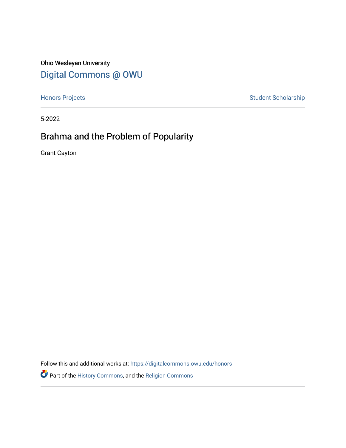Ohio Wesleyan University [Digital Commons @ OWU](https://digitalcommons.owu.edu/) 

[Honors Projects](https://digitalcommons.owu.edu/honors) **Student Scholarship** Student Scholarship

5-2022

# Brahma and the Problem of Popularity

Grant Cayton

Follow this and additional works at: [https://digitalcommons.owu.edu/honors](https://digitalcommons.owu.edu/honors?utm_source=digitalcommons.owu.edu%2Fhonors%2F2&utm_medium=PDF&utm_campaign=PDFCoverPages) 

Part of the [History Commons,](http://network.bepress.com/hgg/discipline/489?utm_source=digitalcommons.owu.edu%2Fhonors%2F2&utm_medium=PDF&utm_campaign=PDFCoverPages) and the [Religion Commons](http://network.bepress.com/hgg/discipline/538?utm_source=digitalcommons.owu.edu%2Fhonors%2F2&utm_medium=PDF&utm_campaign=PDFCoverPages)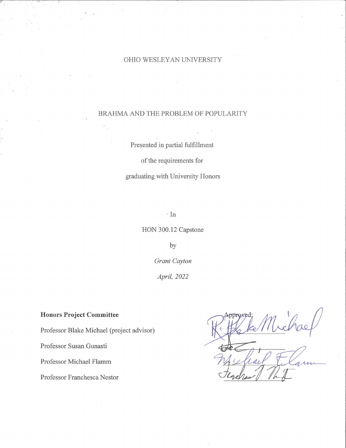#### OHIO WESLEY AN UNIVERSITY

#### BRAHMA AND THE PROBLEM OF POPULARITY

Presented in partial fulfillment

of the requirements for

graduating with University Honors

· In

HON 300.12 Capstone

by

*Grant Cayton* 

*April, 2022* 

# **Honors Project Committee**

Professor Blake Michael (project advisor)

 $\epsilon$ 

Professor Susan Gunasti

Professor Michael Flamm

Professor Franchesca Nestor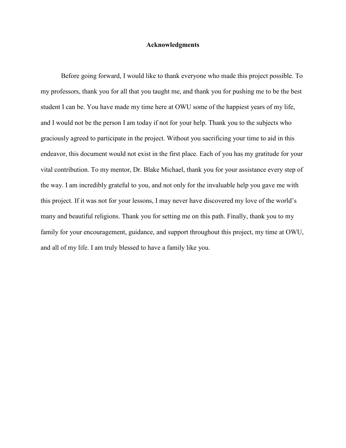## **Acknowledgments**

Before going forward, I would like to thank everyone who made this project possible. To my professors, thank you for all that you taught me, and thank you for pushing me to be the best student I can be. You have made my time here at OWU some of the happiest years of my life, and I would not be the person I am today if not for your help. Thank you to the subjects who graciously agreed to participate in the project. Without you sacrificing your time to aid in this endeavor, this document would not exist in the first place. Each of you has my gratitude for your vital contribution. To my mentor, Dr. Blake Michael, thank you for your assistance every step of the way. I am incredibly grateful to you, and not only for the invaluable help you gave me with this project. If it was not for your lessons, I may never have discovered my love of the world's many and beautiful religions. Thank you for setting me on this path. Finally, thank you to my family for your encouragement, guidance, and support throughout this project, my time at OWU, and all of my life. I am truly blessed to have a family like you.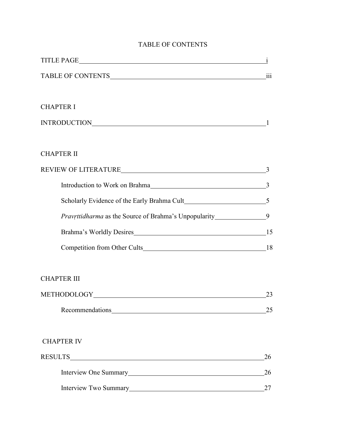# TABLE OF CONTENTS

| TITLE PAGE                                                            |    |
|-----------------------------------------------------------------------|----|
|                                                                       |    |
|                                                                       |    |
| <b>CHAPTER I</b>                                                      |    |
|                                                                       |    |
|                                                                       |    |
| <b>CHAPTER II</b>                                                     |    |
| REVIEW OF LITERATURE <b>SEXUEW</b> OF LITERATURE <b>S</b>             |    |
|                                                                       |    |
|                                                                       |    |
| Pravrttidharma as the Source of Brahma's Unpopularity_______________9 |    |
|                                                                       |    |
|                                                                       |    |
|                                                                       |    |
| <b>CHAPTER III</b>                                                    |    |
|                                                                       | 23 |
| Recommendations<br><u>Example 2014</u>                                | 25 |
|                                                                       |    |
| <b>CHAPTER IV</b>                                                     |    |
|                                                                       | 26 |
|                                                                       | 26 |
| Interview Two Summary                                                 | 27 |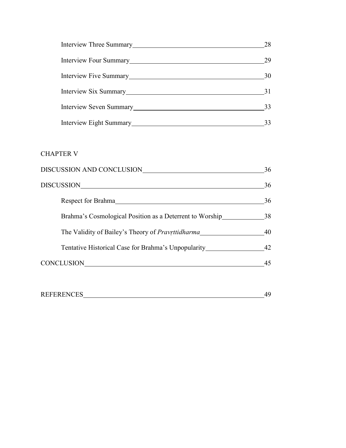| Interview Three Summary<br><u>Interview Three Summary</u>                                                                                                                                                                              | 28 |
|----------------------------------------------------------------------------------------------------------------------------------------------------------------------------------------------------------------------------------------|----|
| Interview Four Summary                                                                                                                                                                                                                 | 29 |
| Interview Five Summary                                                                                                                                                                                                                 | 30 |
|                                                                                                                                                                                                                                        | 31 |
| Interview Seven Summary<br><u>Letter and the second of the second of the second of the second of the second of the second of the second of the second of the second of the second of the second of the second of the second of the</u> | 33 |
| Interview Eight Summary                                                                                                                                                                                                                |    |

# CHAPTER V

| DISCUSSION AND CONCLUSION                                | 36 |
|----------------------------------------------------------|----|
| DISCUSSION                                               | 36 |
|                                                          | 36 |
| Brahma's Cosmological Position as a Deterrent to Worship | 38 |
| The Validity of Bailey's Theory of <i>Pravritidharma</i> | 40 |
| Tentative Historical Case for Brahma's Unpopularity      | 42 |
| <b>CONCLUSION</b>                                        | 45 |

| <b>REFERENCES</b> |  |
|-------------------|--|
|                   |  |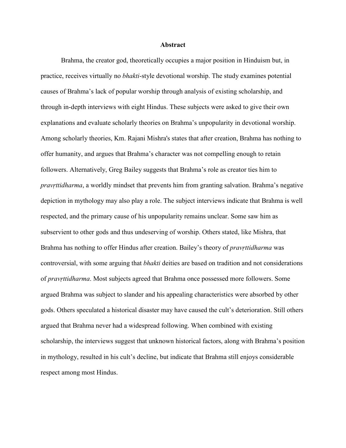#### **Abstract**

Brahma, the creator god, theoretically occupies a major position in Hinduism but, in practice, receives virtually no *bhakti*-style devotional worship. The study examines potential causes of Brahma's lack of popular worship through analysis of existing scholarship, and through in-depth interviews with eight Hindus. These subjects were asked to give their own explanations and evaluate scholarly theories on Brahma's unpopularity in devotional worship. Among scholarly theories, Km. Rajani Mishra's states that after creation, Brahma has nothing to offer humanity, and argues that Brahma's character was not compelling enough to retain followers. Alternatively, Greg Bailey suggests that Brahma's role as creator ties him to *pravṛttidharma*, a worldly mindset that prevents him from granting salvation. Brahma's negative depiction in mythology may also play a role. The subject interviews indicate that Brahma is well respected, and the primary cause of his unpopularity remains unclear. Some saw him as subservient to other gods and thus undeserving of worship. Others stated, like Mishra, that Brahma has nothing to offer Hindus after creation. Bailey's theory of *pravṛttidharma* was controversial, with some arguing that *bhakti* deities are based on tradition and not considerations of *pravṛttidharma*. Most subjects agreed that Brahma once possessed more followers. Some argued Brahma was subject to slander and his appealing characteristics were absorbed by other gods. Others speculated a historical disaster may have caused the cult's deterioration. Still others argued that Brahma never had a widespread following. When combined with existing scholarship, the interviews suggest that unknown historical factors, along with Brahma's position in mythology, resulted in his cult's decline, but indicate that Brahma still enjoys considerable respect among most Hindus.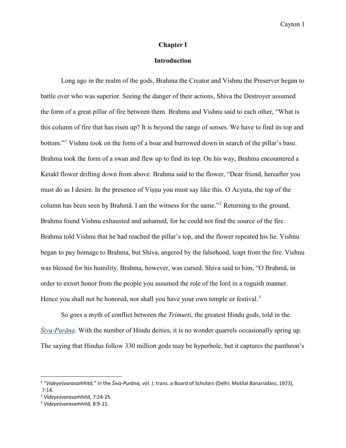#### **Chapter I**

#### **Introduction**

Long ago in the realm of the gods, Brahma the Creator and Vishnu the Preserver began to battle over who was superior. Seeing the danger of their actions, Shiva the Destroyer assumed the form of a great pillar of fire between them. Brahma and Vishnu said to each other, "What is this column of fire that has risen up? It is beyond the range of senses. We have to find its top and bottom."<sup>[1](#page-6-0)</sup> Vishnu took on the form of a boar and burrowed down in search of the pillar's base. Brahma took the form of a swan and flew up to find its top. On his way, Brahma encountered a Ketakī flower drifting down from above. Brahma said to the flower, "Dear friend, hereafter you must do as I desire. In the presence of Viṣṇu you must say like this. O Acyuta, the top of the column has been seen by Brahmā. I am the witness for the same."[2](#page-6-1) Returning to the ground, Brahma found Vishnu exhausted and ashamed, for he could not find the source of the fire. Brahma told Vishnu that he had reached the pillar's top, and the flower repeated his lie. Vishnu began to pay homage to Brahma, but Shiva, angered by the falsehood, leapt from the fire. Vishnu was blessed for his humility. Brahma, however, was cursed. Shiva said to him, "O Brahmā, in order to extort honor from the people you assumed the role of the lord in a roguish manner. Hence you shall not be honored, nor shall you have your own temple or festival.<sup>[3](#page-6-2)</sup>

So goes a myth of conflict between the *Trimurti,* the greatest Hindu gods, told in the *Śiva-Purāna*. With the number of Hindu deities, it is no wonder quarrels occasionally spring up. The saying that Hindus follow 330 million gods may be hyperbole, but it captures the pantheon's

l

<span id="page-6-0"></span><sup>1</sup> "*Videyeśvarasaṁhitā,"* in the *Śiva-Purāna, vol. I,* trans. a Board of Scholars (Delhi: Motilal Banarsidass, 1973), 7:14. 2 *Videyeśvarasaṁhitā,* 7:24-25. 3 *Videyeśvarasaṁhitā,* 8:9-11.

<span id="page-6-1"></span>

<span id="page-6-2"></span>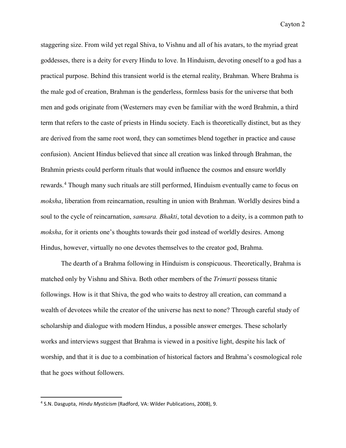staggering size. From wild yet regal Shiva, to Vishnu and all of his avatars, to the myriad great goddesses, there is a deity for every Hindu to love. In Hinduism, devoting oneself to a god has a practical purpose. Behind this transient world is the eternal reality, Brahman. Where Brahma is the male god of creation, Brahman is the genderless, formless basis for the universe that both men and gods originate from (Westerners may even be familiar with the word Brahmin, a third term that refers to the caste of priests in Hindu society. Each is theoretically distinct, but as they are derived from the same root word, they can sometimes blend together in practice and cause confusion). Ancient Hindus believed that since all creation was linked through Brahman, the Brahmin priests could perform rituals that would influence the cosmos and ensure worldly rewards.<sup>[4](#page-7-0)</sup> Though many such rituals are still performed, Hinduism eventually came to focus on *moksha*, liberation from reincarnation, resulting in union with Brahman. Worldly desires bind a soul to the cycle of reincarnation, *samsara. Bhakti*, total devotion to a deity, is a common path to *moksha*, for it orients one's thoughts towards their god instead of worldly desires. Among Hindus, however, virtually no one devotes themselves to the creator god, Brahma.

The dearth of a Brahma following in Hinduism is conspicuous. Theoretically, Brahma is matched only by Vishnu and Shiva. Both other members of the *Trimurti* possess titanic followings. How is it that Shiva, the god who waits to destroy all creation, can command a wealth of devotees while the creator of the universe has next to none? Through careful study of scholarship and dialogue with modern Hindus, a possible answer emerges. These scholarly works and interviews suggest that Brahma is viewed in a positive light, despite his lack of worship, and that it is due to a combination of historical factors and Brahma's cosmological role that he goes without followers.

<span id="page-7-0"></span> <sup>4</sup> S.N. Dasgupta, *Hindu Mysticism* (Radford, VA: Wilder Publications, 2008), 9.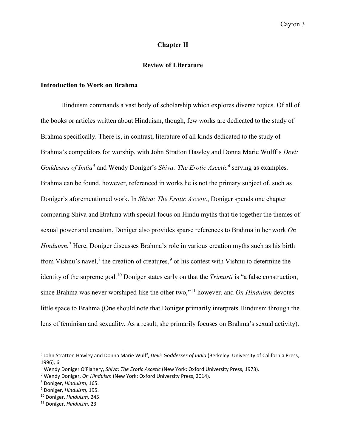### **Chapter II**

#### **Review of Literature**

#### **Introduction to Work on Brahma**

Hinduism commands a vast body of scholarship which explores diverse topics. Of all of the books or articles written about Hinduism, though, few works are dedicated to the study of Brahma specifically. There is, in contrast, literature of all kinds dedicated to the study of Brahma's competitors for worship, with John Stratton Hawley and Donna Marie Wulff's *Devi: Goddesses of India*<sup>[5](#page-8-0)</sup> and Wendy Doniger's *Shiva: The Erotic Ascetic*<sup>[6](#page-8-1)</sup> serving as examples. Brahma can be found, however, referenced in works he is not the primary subject of, such as Doniger's aforementioned work. In *Shiva: The Erotic Ascetic*, Doniger spends one chapter comparing Shiva and Brahma with special focus on Hindu myths that tie together the themes of sexual power and creation. Doniger also provides sparse references to Brahma in her work *On Hinduism.[7](#page-8-2)* Here, Doniger discusses Brahma's role in various creation myths such as his birth from Vishnu's navel, $8$  the creation of creatures, $9$  or his contest with Vishnu to determine the identity of the supreme god.[10](#page-8-5) Doniger states early on that the *Trimurti* is "a false construction, since Brahma was never worshiped like the other two,"[11](#page-8-6) however, and *On Hinduism* devotes little space to Brahma (One should note that Doniger primarily interprets Hinduism through the lens of feminism and sexuality. As a result, she primarily focuses on Brahma's sexual activity).

<span id="page-8-0"></span> <sup>5</sup> John Stratton Hawley and Donna Marie Wulff, *Devi: Goddesses of India* (Berkeley: University of California Press, 1996), 6.

<span id="page-8-1"></span><sup>6</sup> Wendy Doniger O'Flahery, *Shiva: The Erotic Ascetic* (New York: Oxford University Press, 1973).

<span id="page-8-2"></span><sup>7</sup> Wendy Doniger, *On Hinduism* (New York: Oxford University Press, 2014).

<span id="page-8-3"></span><sup>8</sup> Doniger, *Hinduism,* 165.

<span id="page-8-4"></span><sup>9</sup> Doniger, *Hinduism,* 195.

<span id="page-8-5"></span><sup>10</sup> Doniger, *Hinduism,* 245.

<span id="page-8-6"></span><sup>11</sup> Doniger, *Hinduism,* 23.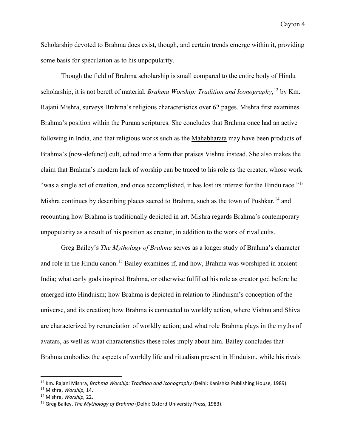Scholarship devoted to Brahma does exist, though, and certain trends emerge within it, providing some basis for speculation as to his unpopularity.

 Though the field of Brahma scholarship is small compared to the entire body of Hindu scholarship, it is not bereft of material. *Brahma Worship: Tradition and Iconography*, [12](#page-9-0) by Km. Rajani Mishra, surveys Brahma's religious characteristics over 62 pages. Mishra first examines Brahma's position within the Purana scriptures. She concludes that Brahma once had an active following in India, and that religious works such as the Mahabharata may have been products of Brahma's (now-defunct) cult, edited into a form that praises Vishnu instead. She also makes the claim that Brahma's modern lack of worship can be traced to his role as the creator, whose work "was a single act of creation, and once accomplished, it has lost its interest for the Hindu race."<sup>[13](#page-9-1)</sup> Mishra continues by describing places sacred to Brahma, such as the town of Pushkar,  $^{14}$  $^{14}$  $^{14}$  and recounting how Brahma is traditionally depicted in art. Mishra regards Brahma's contemporary unpopularity as a result of his position as creator, in addition to the work of rival cults.

Greg Bailey's *The Mythology of Brahma* serves as a longer study of Brahma's character and role in the Hindu canon.<sup>[15](#page-9-3)</sup> Bailey examines if, and how, Brahma was worshiped in ancient India; what early gods inspired Brahma, or otherwise fulfilled his role as creator god before he emerged into Hinduism; how Brahma is depicted in relation to Hinduism's conception of the universe, and its creation; how Brahma is connected to worldly action, where Vishnu and Shiva are characterized by renunciation of worldly action; and what role Brahma plays in the myths of avatars, as well as what characteristics these roles imply about him. Bailey concludes that Brahma embodies the aspects of worldly life and ritualism present in Hinduism, while his rivals

l

<span id="page-9-0"></span><sup>12</sup> Km. Rajani Mishra, *Brahma Worship: Tradition and Iconography* (Delhi: Kanishka Publishing House, 1989).

<span id="page-9-3"></span>

<span id="page-9-2"></span><span id="page-9-1"></span><sup>&</sup>lt;sup>13</sup> Mishra, *Worship,* 14.<br><sup>14</sup> Mishra, *Worship,* 22.<br><sup>15</sup> Greg Bailey, *The Mythology of Brahma (*Delhi: Oxford University Press, 1983).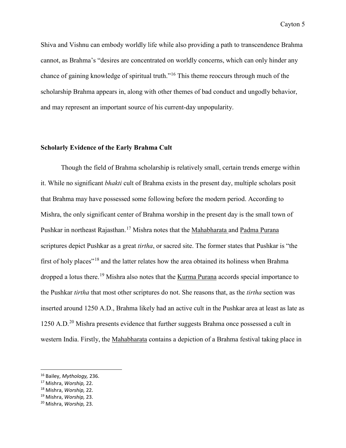Shiva and Vishnu can embody worldly life while also providing a path to transcendence Brahma cannot, as Brahma's "desires are concentrated on worldly concerns, which can only hinder any chance of gaining knowledge of spiritual truth."[16](#page-10-0) This theme reoccurs through much of the scholarship Brahma appears in, along with other themes of bad conduct and ungodly behavior, and may represent an important source of his current-day unpopularity.

# **Scholarly Evidence of the Early Brahma Cult**

Though the field of Brahma scholarship is relatively small, certain trends emerge within it. While no significant *bhakti* cult of Brahma exists in the present day, multiple scholars posit that Brahma may have possessed some following before the modern period. According to Mishra, the only significant center of Brahma worship in the present day is the small town of Pushkar in northeast Rajasthan.[17](#page-10-1) Mishra notes that the Mahabharata and Padma Purana scriptures depict Pushkar as a great *tirtha*, or sacred site. The former states that Pushkar is "the first of holy places"[18](#page-10-2) and the latter relates how the area obtained its holiness when Brahma dropped a lotus there.<sup>[19](#page-10-3)</sup> Mishra also notes that the Kurma Purana accords special importance to the Pushkar *tirtha* that most other scriptures do not. She reasons that, as the *tirtha* section was inserted around 1250 A.D., Brahma likely had an active cult in the Pushkar area at least as late as 1250 A.D.<sup>[20](#page-10-4)</sup> Mishra presents evidence that further suggests Brahma once possessed a cult in western India. Firstly, the Mahabharata contains a depiction of a Brahma festival taking place in

 $\overline{\phantom{a}}$ 

<span id="page-10-1"></span><span id="page-10-0"></span><sup>16</sup> Bailey, *Mythology,* 236. 17 Mishra, *Worship,* 22. 18 Mishra, *Worship,* 22.

<span id="page-10-2"></span>

<span id="page-10-3"></span><sup>19</sup> Mishra, *Worship,* 23.

<span id="page-10-4"></span><sup>20</sup> Mishra, *Worship,* 23.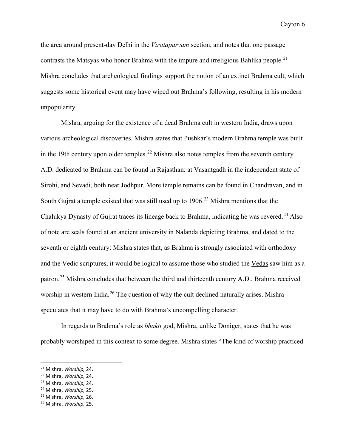the area around present-day Delhi in the *Virataparvam* section, and notes that one passage contrasts the Matsyas who honor Brahma with the impure and irreligious Bahlika people.<sup>[21](#page-11-0)</sup> Mishra concludes that archeological findings support the notion of an extinct Brahma cult, which suggests some historical event may have wiped out Brahma's following, resulting in his modern unpopularity.

 Mishra, arguing for the existence of a dead Brahma cult in western India, draws upon various archeological discoveries. Mishra states that Pushkar's modern Brahma temple was built in the 19th century upon older temples.<sup>[22](#page-11-1)</sup> Mishra also notes temples from the seventh century A.D. dedicated to Brahma can be found in Rajasthan: at Vasantgadh in the independent state of Sirohi, and Sevadi, both near Jodhpur. More temple remains can be found in Chandravan, and in South Gujrat a temple existed that was still used up to  $1906<sup>23</sup>$  $1906<sup>23</sup>$  $1906<sup>23</sup>$  Mishra mentions that the Chalukya Dynasty of Gujrat traces its lineage back to Brahma, indicating he was revered.<sup>[24](#page-11-3)</sup> Also of note are seals found at an ancient university in Nalanda depicting Brahma, and dated to the seventh or eighth century: Mishra states that, as Brahma is strongly associated with orthodoxy and the Vedic scriptures, it would be logical to assume those who studied the Vedas saw him as a patron.[25](#page-11-4) Mishra concludes that between the third and thirteenth century A.D., Brahma received worship in western India.<sup>26</sup> The question of why the cult declined naturally arises. Mishra speculates that it may have to do with Brahma's uncompelling character.

 In regards to Brahma's role as *bhakti* god, Mishra, unlike Doniger, states that he was probably worshiped in this context to some degree. Mishra states "The kind of worship practiced

l

<span id="page-11-0"></span><sup>21</sup> Mishra, *Worship,* 24.

<span id="page-11-1"></span><sup>22</sup> Mishra, *Worship,* 24.

<span id="page-11-2"></span><sup>23</sup> Mishra, *Worship,* 24.

<span id="page-11-4"></span><span id="page-11-3"></span><sup>24</sup> Mishra, *Worship,* 25. 25 Mishra, *Worship,* 26.

<span id="page-11-5"></span><sup>26</sup> Mishra, *Worship,* 25.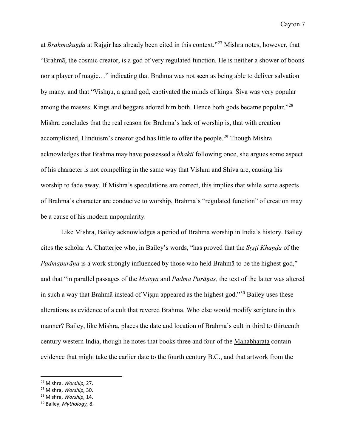at *Brahmakuṇḍa* at Rajgir has already been cited in this context."[27](#page-12-0) Mishra notes, however, that "Brahmā, the cosmic creator, is a god of very regulated function. He is neither a shower of boons nor a player of magic…" indicating that Brahma was not seen as being able to deliver salvation by many, and that "Vishṇu, a grand god, captivated the minds of kings. Śiva was very popular among the masses. Kings and beggars adored him both. Hence both gods became popular.<sup>"[28](#page-12-1)</sup> Mishra concludes that the real reason for Brahma's lack of worship is, that with creation accomplished, Hinduism's creator god has little to offer the people.<sup>[29](#page-12-2)</sup> Though Mishra acknowledges that Brahma may have possessed a *bhakti* following once, she argues some aspect of his character is not compelling in the same way that Vishnu and Shiva are, causing his worship to fade away. If Mishra's speculations are correct, this implies that while some aspects of Brahma's character are conducive to worship, Brahma's "regulated function" of creation may be a cause of his modern unpopularity.

 Like Mishra, Bailey acknowledges a period of Brahma worship in India's history. Bailey cites the scholar A. Chatterjee who, in Bailey's words, "has proved that the *Sṛṣṭi Khaṇḍa* of the *Padmapurāṇa* is a work strongly influenced by those who held Brahmā to be the highest god," and that "in parallel passages of the *Matsya* and *Padma Purāṇas,* the text of the latter was altered in such a way that Brahmā instead of Viṣṇu appeared as the highest god."<sup>[30](#page-12-3)</sup> Bailey uses these alterations as evidence of a cult that revered Brahma. Who else would modify scripture in this manner? Bailey, like Mishra, places the date and location of Brahma's cult in third to thirteenth century western India, though he notes that books three and four of the Mahabharata contain evidence that might take the earlier date to the fourth century B.C., and that artwork from the

l

<span id="page-12-0"></span><sup>27</sup> Mishra, *Worship,* 27.

<span id="page-12-1"></span><sup>28</sup> Mishra, *Worship,* 30.

<span id="page-12-2"></span><sup>29</sup> Mishra, *Worship,* 14.

<span id="page-12-3"></span><sup>30</sup> Bailey, *Mythology,* 8.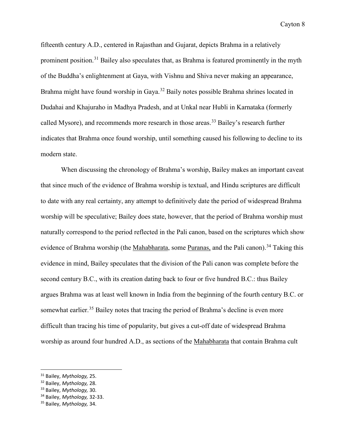fifteenth century A.D., centered in Rajasthan and Gujarat, depicts Brahma in a relatively prominent position.<sup>[31](#page-13-0)</sup> Bailey also speculates that, as Brahma is featured prominently in the myth of the Buddha's enlightenment at Gaya, with Vishnu and Shiva never making an appearance, Brahma might have found worship in Gaya.<sup>32</sup> Baily notes possible Brahma shrines located in Dudahai and Khajuraho in Madhya Pradesh, and at Unkal near Hubli in Karnataka (formerly called Mysore), and recommends more research in those areas.<sup>[33](#page-13-2)</sup> Bailey's research further indicates that Brahma once found worship, until something caused his following to decline to its modern state.

 When discussing the chronology of Brahma's worship, Bailey makes an important caveat that since much of the evidence of Brahma worship is textual, and Hindu scriptures are difficult to date with any real certainty, any attempt to definitively date the period of widespread Brahma worship will be speculative; Bailey does state, however, that the period of Brahma worship must naturally correspond to the period reflected in the Pali canon, based on the scriptures which show evidence of Brahma worship (the Mahabharata, some Puranas, and the Pali canon).<sup>34</sup> Taking this evidence in mind, Bailey speculates that the division of the Pali canon was complete before the second century B.C., with its creation dating back to four or five hundred B.C.: thus Bailey argues Brahma was at least well known in India from the beginning of the fourth century B.C. or somewhat earlier.<sup>35</sup> Bailey notes that tracing the period of Brahma's decline is even more difficult than tracing his time of popularity, but gives a cut-off date of widespread Brahma worship as around four hundred A.D., as sections of the Mahabharata that contain Brahma cult

 $\overline{\phantom{a}}$ 

<span id="page-13-0"></span><sup>31</sup> Bailey, *Mythology,* 25.

<span id="page-13-1"></span><sup>32</sup> Bailey, *Mythology,* 28.

<span id="page-13-2"></span><sup>33</sup> Bailey, *Mythology,* 30.

<span id="page-13-3"></span><sup>34</sup> Bailey, *Mythology,* 32-33.

<span id="page-13-4"></span><sup>35</sup> Bailey, *Mythology,* 34.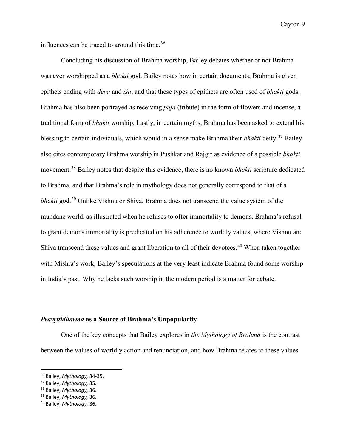influences can be traced to around this time.<sup>[36](#page-14-0)</sup>

Concluding his discussion of Brahma worship, Bailey debates whether or not Brahma was ever worshipped as a *bhakti* god. Bailey notes how in certain documents, Brahma is given epithets ending with *deva* and *īśa*, and that these types of epithets are often used of *bhakti* gods. Brahma has also been portrayed as receiving *puja* (tribute) in the form of flowers and incense, a traditional form of *bhakti* worship. Lastly, in certain myths, Brahma has been asked to extend his blessing to certain individuals, which would in a sense make Brahma their *bhakti* deity.[37](#page-14-1) Bailey also cites contemporary Brahma worship in Pushkar and Rajgir as evidence of a possible *bhakti*  movement.[38](#page-14-2) Bailey notes that despite this evidence, there is no known *bhakti* scripture dedicated to Brahma, and that Brahma's role in mythology does not generally correspond to that of a *bhakti* god.<sup>[39](#page-14-3)</sup> Unlike Vishnu or Shiva, Brahma does not transcend the value system of the mundane world, as illustrated when he refuses to offer immortality to demons. Brahma's refusal to grant demons immortality is predicated on his adherence to worldly values, where Vishnu and Shiva transcend these values and grant liberation to all of their devotees.<sup>[40](#page-14-4)</sup> When taken together with Mishra's work, Bailey's speculations at the very least indicate Brahma found some worship in India's past. Why he lacks such worship in the modern period is a matter for debate.

#### *Pravṛttidharma* **as a Source of Brahma's Unpopularity**

One of the key concepts that Bailey explores in *the Mythology of Brahma* is the contrast between the values of worldly action and renunciation, and how Brahma relates to these values

<span id="page-14-0"></span> <sup>36</sup> Bailey, *Mythology,* 34-35.

<span id="page-14-1"></span><sup>37</sup> Bailey, *Mythology,* 35.

<span id="page-14-2"></span><sup>38</sup> Bailey, *Mythology,* 36.

<span id="page-14-3"></span><sup>39</sup> Bailey, *Mythology,* 36.

<span id="page-14-4"></span><sup>40</sup> Bailey, *Mythology,* 36.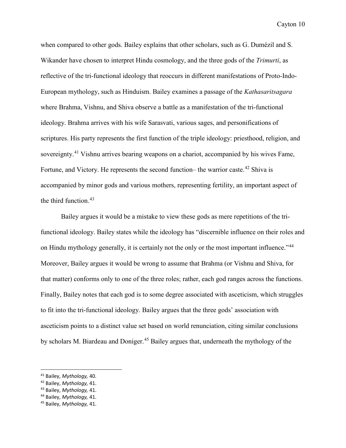when compared to other gods. Bailey explains that other scholars, such as G. Dumézil and S. Wikander have chosen to interpret Hindu cosmology, and the three gods of the *Trimurti*, as reflective of the tri-functional ideology that reoccurs in different manifestations of Proto-Indo-European mythology, such as Hinduism. Bailey examines a passage of the *Kathasaritsagara*  where Brahma, Vishnu, and Shiva observe a battle as a manifestation of the tri-functional ideology. Brahma arrives with his wife Sarasvati, various sages, and personifications of scriptures. His party represents the first function of the triple ideology: priesthood, religion, and sovereignty.<sup>[41](#page-15-0)</sup> Vishnu arrives bearing weapons on a chariot, accompanied by his wives Fame, Fortune, and Victory. He represents the second function– the warrior caste.<sup>[42](#page-15-1)</sup> Shiva is accompanied by minor gods and various mothers, representing fertility, an important aspect of the third function.<sup>[43](#page-15-2)</sup>

Bailey argues it would be a mistake to view these gods as mere repetitions of the trifunctional ideology. Bailey states while the ideology has "discernible influence on their roles and on Hindu mythology generally, it is certainly not the only or the most important influence."<sup>[44](#page-15-3)</sup> Moreover, Bailey argues it would be wrong to assume that Brahma (or Vishnu and Shiva, for that matter) conforms only to one of the three roles; rather, each god ranges across the functions. Finally, Bailey notes that each god is to some degree associated with asceticism, which struggles to fit into the tri-functional ideology. Bailey argues that the three gods' association with asceticism points to a distinct value set based on world renunciation, citing similar conclusions by scholars M. Biardeau and Doniger.<sup>[45](#page-15-4)</sup> Bailey argues that, underneath the mythology of the

<span id="page-15-0"></span> <sup>41</sup> Bailey, *Mythology,* 40.

<span id="page-15-1"></span><sup>42</sup> Bailey, *Mythology,* 41.

<span id="page-15-2"></span><sup>43</sup> Bailey, *Mythology,* 41.

<span id="page-15-3"></span><sup>44</sup> Bailey, *Mythology,* 41.

<span id="page-15-4"></span><sup>45</sup> Bailey, *Mythology,* 41.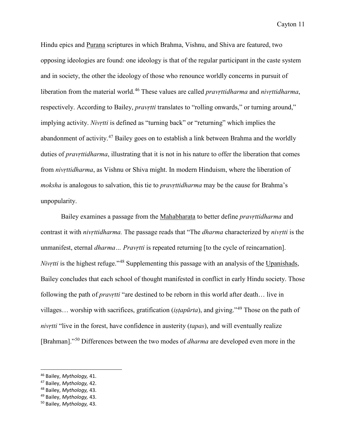Hindu epics and Purana scriptures in which Brahma, Vishnu, and Shiva are featured, two opposing ideologies are found: one ideology is that of the regular participant in the caste system and in society, the other the ideology of those who renounce worldly concerns in pursuit of liberation from the material world. [46](#page-16-0) These values are called *pravṛttidharma* and *nivṛttidharma*, respectively. According to Bailey, *pravrtti* translates to "rolling onwards," or turning around," implying activity. *Nivṛtti* is defined as "turning back" or "returning" which implies the abandonment of activity.<sup>[47](#page-16-1)</sup> Bailey goes on to establish a link between Brahma and the worldly duties of *pravṛttidharma*, illustrating that it is not in his nature to offer the liberation that comes from *nivṛttidharma*, as Vishnu or Shiva might. In modern Hinduism, where the liberation of *moksha* is analogous to salvation, this tie to *pravṛttidharma* may be the cause for Brahma's unpopularity.

Bailey examines a passage from the Mahabharata to better define *pravṛttidharma* and contrast it with *nivṛttidharma.* The passage reads that "The *dharma* characterized by *nivṛtti* is the unmanifest, eternal *dharma… Pravṛtti* is repeated returning [to the cycle of reincarnation]. *Nivrtti* is the highest refuge."<sup>[48](#page-16-2)</sup> Supplementing this passage with an analysis of the Upanishads, Bailey concludes that each school of thought manifested in conflict in early Hindu society. Those following the path of *pravṛtti* "are destined to be reborn in this world after death… live in villages… worship with sacrifices, gratification (*iṣṭapūrta*), and giving."[49](#page-16-3) Those on the path of *nivṛtti* "live in the forest, have confidence in austerity (*tapas*), and will eventually realize [Brahman]."[50](#page-16-4) Differences between the two modes of *dharma* are developed even more in the

 $\overline{\phantom{a}}$ 

<span id="page-16-0"></span><sup>46</sup> Bailey, *Mythology,* 41. 47 Bailey, *Mythology,* 42.

<span id="page-16-1"></span>

<span id="page-16-3"></span><span id="page-16-2"></span><sup>48</sup> Bailey, *Mythology,* 43. 49 Bailey, *Mythology,* 43. 50 Bailey, *Mythology,* 43.

<span id="page-16-4"></span>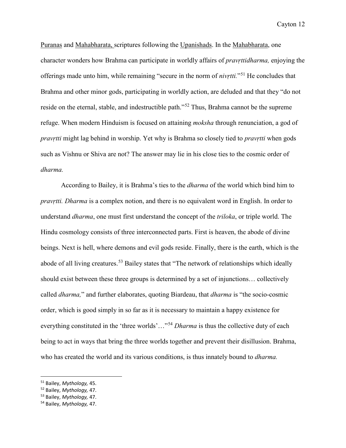Puranas and Mahabharata, scriptures following the Upanishads. In the Mahabharata, one character wonders how Brahma can participate in worldly affairs of *pravṛttidharma,* enjoying the offerings made unto him, while remaining "secure in the norm of *nivṛtti.*"[51](#page-17-0) He concludes that Brahma and other minor gods, participating in worldly action, are deluded and that they "do not reside on the eternal, stable, and indestructible path."[52](#page-17-1) Thus, Brahma cannot be the supreme refuge. When modern Hinduism is focused on attaining *moksha* through renunciation, a god of *pravṛtti* might lag behind in worship. Yet why is Brahma so closely tied to *pravṛtti* when gods such as Vishnu or Shiva are not? The answer may lie in his close ties to the cosmic order of *dharma.* 

According to Bailey, it is Brahma's ties to the *dharma* of the world which bind him to *pravṛtti. Dharma* is a complex notion, and there is no equivalent word in English. In order to understand *dharma*, one must first understand the concept of the *triloka*, or triple world. The Hindu cosmology consists of three interconnected parts. First is heaven, the abode of divine beings. Next is hell, where demons and evil gods reside. Finally, there is the earth, which is the abode of all living creatures.<sup>[53](#page-17-2)</sup> Bailey states that "The network of relationships which ideally should exist between these three groups is determined by a set of injunctions… collectively called *dharma,*" and further elaborates, quoting Biardeau, that *dharma* is "the socio-cosmic order, which is good simply in so far as it is necessary to maintain a happy existence for everything constituted in the 'three worlds'…"[54](#page-17-3) *Dharma* is thus the collective duty of each being to act in ways that bring the three worlds together and prevent their disillusion. Brahma, who has created the world and its various conditions, is thus innately bound to *dharma.*

l

<span id="page-17-1"></span><span id="page-17-0"></span><sup>51</sup> Bailey, *Mythology,* 45. 52 Bailey, *Mythology,* 47. 53 Bailey, *Mythology,* 47. 54 Bailey, *Mythology,* 47.

<span id="page-17-2"></span>

<span id="page-17-3"></span>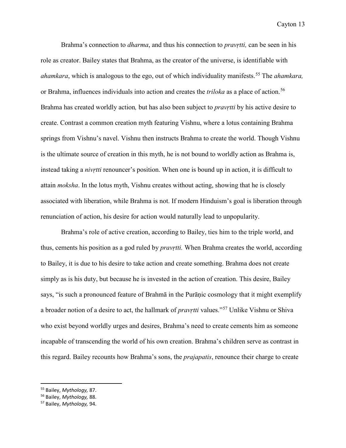Brahma's connection to *dharma*, and thus his connection to *pravṛtti,* can be seen in his role as creator. Bailey states that Brahma, as the creator of the universe, is identifiable with *ahamkara*, which is analogous to the ego, out of which individuality manifests. [55](#page-18-0) The *ahamkara,*  or Brahma, influences individuals into action and creates the *triloka* as a place of action.<sup>[56](#page-18-1)</sup> Brahma has created worldly action*,* but has also been subject to *pravṛtti* by his active desire to create. Contrast a common creation myth featuring Vishnu, where a lotus containing Brahma springs from Vishnu's navel. Vishnu then instructs Brahma to create the world. Though Vishnu is the ultimate source of creation in this myth, he is not bound to worldly action as Brahma is, instead taking a *nivṛtti* renouncer's position. When one is bound up in action, it is difficult to attain *moksha*. In the lotus myth, Vishnu creates without acting, showing that he is closely associated with liberation, while Brahma is not. If modern Hinduism's goal is liberation through renunciation of action, his desire for action would naturally lead to unpopularity.

Brahma's role of active creation, according to Bailey, ties him to the triple world, and thus, cements his position as a god ruled by *pravṛtti.* When Brahma creates the world, according to Bailey, it is due to his desire to take action and create something. Brahma does not create simply as is his duty, but because he is invested in the action of creation. This desire, Bailey says, "is such a pronounced feature of Brahmā in the Purāṇic cosmology that it might exemplify a broader notion of a desire to act, the hallmark of *pravṛtti* values."[57](#page-18-2) Unlike Vishnu or Shiva who exist beyond worldly urges and desires, Brahma's need to create cements him as someone incapable of transcending the world of his own creation. Brahma's children serve as contrast in this regard. Bailey recounts how Brahma's sons, the *prajapatis*, renounce their charge to create

<span id="page-18-0"></span> <sup>55</sup> Bailey, *Mythology,* 87.

<span id="page-18-1"></span><sup>56</sup> Bailey, *Mythology,* 88.

<span id="page-18-2"></span><sup>57</sup> Bailey, *Mythology,* 94.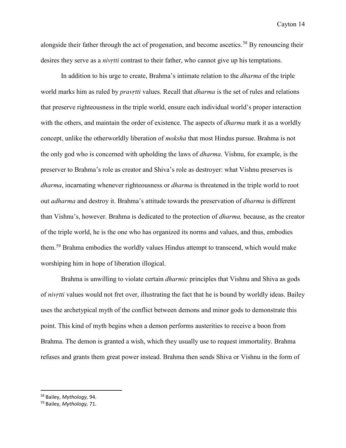alongside their father through the act of progenation, and become ascetics.<sup>[58](#page-19-0)</sup> By renouncing their desires they serve as a *nivṛtti* contrast to their father, who cannot give up his temptations.

In addition to his urge to create, Brahma's intimate relation to the *dharma* of the triple world marks him as ruled by *pravṛtti* values. Recall that *dharma* is the set of rules and relations that preserve righteousness in the triple world, ensure each individual world's proper interaction with the others, and maintain the order of existence. The aspects of *dharma* mark it as a worldly concept, unlike the otherworldly liberation of *moksha* that most Hindus pursue. Brahma is not the only god who is concerned with upholding the laws of *dharma*. Vishnu, for example, is the preserver to Brahma's role as creator and Shiva's role as destroyer: what Vishnu preserves is *dharma*, incarnating whenever righteousness or *dharma* is threatened in the triple world to root out *adharma* and destroy it. Brahma's attitude towards the preservation of *dharma* is different than Vishnu's, however. Brahma is dedicated to the protection of *dharma,* because, as the creator of the triple world, he is the one who has organized its norms and values, and thus, embodies them.<sup>[59](#page-19-1)</sup> Brahma embodies the worldly values Hindus attempt to transcend, which would make worshiping him in hope of liberation illogical.

Brahma is unwilling to violate certain *dharmic* principles that Vishnu and Shiva as gods of *nivṛtti* values would not fret over, illustrating the fact that he is bound by worldly ideas. Bailey uses the archetypical myth of the conflict between demons and minor gods to demonstrate this point. This kind of myth begins when a demon performs austerities to receive a boon from Brahma. The demon is granted a wish, which they usually use to request immortality. Brahma refuses and grants them great power instead. Brahma then sends Shiva or Vishnu in the form of

<span id="page-19-0"></span> <sup>58</sup> Bailey, *Mythology,* 94.

<span id="page-19-1"></span><sup>59</sup> Bailey, *Mythology,* 71.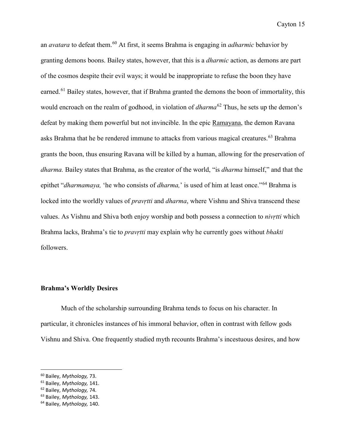an *avatara* to defeat them.[60](#page-20-0) At first, it seems Brahma is engaging in *adharmic* behavior by granting demons boons. Bailey states, however, that this is a *dharmic* action, as demons are part of the cosmos despite their evil ways; it would be inappropriate to refuse the boon they have earned.<sup>61</sup> Bailey states, however, that if Brahma granted the demons the boon of immortality, this would encroach on the realm of godhood, in violation of *dharma*<sup>[62](#page-20-2)</sup> Thus, he sets up the demon's defeat by making them powerful but not invincible. In the epic Ramayana, the demon Ravana asks Brahma that he be rendered immune to attacks from various magical creatures. [63](#page-20-3) Brahma grants the boon, thus ensuring Ravana will be killed by a human, allowing for the preservation of *dharma.* Bailey states that Brahma, as the creator of the world, "is *dharma* himself," and that the epithet "*dharmamaya,* 'he who consists of *dharma,*' is used of him at least once."[64](#page-20-4) Brahma is locked into the worldly values of *pravṛtti* and *dharma*, where Vishnu and Shiva transcend these values. As Vishnu and Shiva both enjoy worship and both possess a connection to *nivṛtti* which Brahma lacks, Brahma's tie to *pravṛtti* may explain why he currently goes without *bhakti*  followers.

#### **Brahma's Worldly Desires**

Much of the scholarship surrounding Brahma tends to focus on his character. In particular, it chronicles instances of his immoral behavior, often in contrast with fellow gods Vishnu and Shiva. One frequently studied myth recounts Brahma's incestuous desires, and how

 $\overline{\phantom{a}}$ 

<span id="page-20-1"></span>

<span id="page-20-3"></span><span id="page-20-2"></span>

<span id="page-20-0"></span><sup>60</sup> Bailey, *Mythology,* 73. 61 Bailey, *Mythology,* 141. 62 Bailey, *Mythology,* 74. 63 Bailey, *Mythology,* 143. 64 Bailey, *Mythology,* 140.

<span id="page-20-4"></span>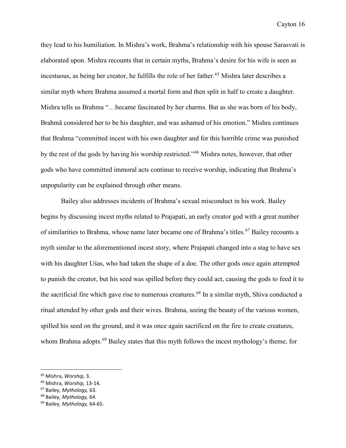they lead to his humiliation. In Mishra's work, Brahma's relationship with his spouse Sarasvati is elaborated upon. Mishra recounts that in certain myths, Brahma's desire for his wife is seen as incestuous, as being her creator, he fulfills the role of her father.<sup>[65](#page-21-0)</sup> Mishra later describes a similar myth where Brahma assumed a mortal form and then split in half to create a daughter. Mishra tells us Brahma "…became fascinated by her charms. But as she was born of his body, Brahmā considered her to be his daughter, and was ashamed of his emotion." Mishra continues that Brahma "committed incest with his own daughter and for this horrible crime was punished by the rest of the gods by having his worship restricted."[66](#page-21-1) Mishra notes, however, that other gods who have committed immoral acts continue to receive worship, indicating that Brahma's unpopularity can be explained through other means.

Bailey also addresses incidents of Brahma's sexual misconduct in his work. Bailey begins by discussing incest myths related to Prajapati, an early creator god with a great number of similarities to Brahma, whose name later became one of Brahma's titles.<sup>[67](#page-21-2)</sup> Bailey recounts a myth similar to the aforementioned incest story, where Prajapati changed into a stag to have sex with his daughter Uśas, who had taken the shape of a doe. The other gods once again attempted to punish the creator, but his seed was spilled before they could act, causing the gods to feed it to the sacrificial fire which gave rise to numerous creatures.<sup>[68](#page-21-3)</sup> In a similar myth, Shiva conducted a ritual attended by other gods and their wives. Brahma, seeing the beauty of the various women, spilled his seed on the ground, and it was once again sacrificed on the fire to create creatures, whom Brahma adopts.<sup>[69](#page-21-4)</sup> Bailey states that this myth follows the incest mythology's theme, for

<span id="page-21-0"></span> <sup>65</sup> Mishra, *Worship,* 3.

<span id="page-21-1"></span><sup>66</sup> Mishra, *Worship,* 13-14.

<span id="page-21-2"></span><sup>67</sup> Bailey, *Mythology,* 63.

<span id="page-21-3"></span><sup>68</sup> Bailey, *Mythology,* 64.

<span id="page-21-4"></span><sup>69</sup> Bailey, *Mythology,* 64-65.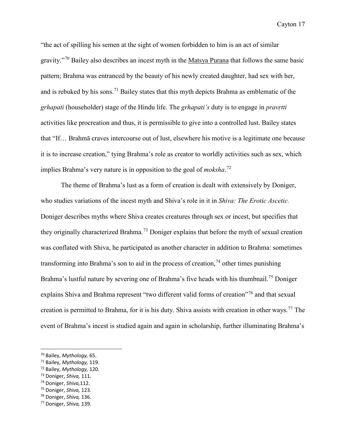"the act of spilling his semen at the sight of women forbidden to him is an act of similar gravity."[70](#page-22-0) Bailey also describes an incest myth in the Matsya Purana that follows the same basic pattern; Brahma was entranced by the beauty of his newly created daughter, had sex with her, and is rebuked by his sons.<sup>[71](#page-22-1)</sup> Bailey states that this myth depicts Brahma as emblematic of the *grhapati* (householder) stage of the Hindu life. The *grhapati's* duty is to engage in *pravṛtti*  activities like procreation and thus, it is permissible to give into a controlled lust. Bailey states that "If… Brahmā craves intercourse out of lust, elsewhere his motive is a legitimate one because it is to increase creation," tying Brahma's role as creator to worldly activities such as sex, which implies Brahma's very nature is in opposition to the goal of *moksha*. [72](#page-22-2)

The theme of Brahma's lust as a form of creation is dealt with extensively by Doniger, who studies variations of the incest myth and Shiva's role in it in *Shiva: The Erotic Ascetic.*  Doniger describes myths where Shiva creates creatures through sex or incest, but specifies that they originally characterized Brahma.<sup>[73](#page-22-3)</sup> Doniger explains that before the myth of sexual creation was conflated with Shiva, he participated as another character in addition to Brahma: sometimes transforming into Brahma's son to aid in the process of creation,  $^{74}$  $^{74}$  $^{74}$  other times punishing Brahma's lustful nature by severing one of Brahma's five heads with his thumbnail.<sup>75</sup> Doniger explains Shiva and Brahma represent "two different valid forms of creation"<sup>[76](#page-22-6)</sup> and that sexual creation is permitted to Brahma, for it is his duty. Shiva assists with creation in other ways.<sup>[77](#page-22-7)</sup> The event of Brahma's incest is studied again and again in scholarship, further illuminating Brahma's

l

<span id="page-22-2"></span>

<span id="page-22-1"></span><span id="page-22-0"></span><sup>&</sup>lt;sup>70</sup> Bailey, *Mythology*, 65.<br>
<sup>71</sup> Bailey, *Mythology*, 119.<br>
<sup>72</sup> Bailey, *Mythology*, 120.<br>
<sup>73</sup> Doniger, *Shiva*, 111.<br>
<sup>74</sup> Doniger, *Shiva*, 112.<br>
<sup>75</sup> Doniger, *Shiva*, 123.<br>
<sup>76</sup> Doniger, *Shiva*, 136.<br>
<sup>77</sup> Donig

<span id="page-22-3"></span>

<span id="page-22-4"></span>

<span id="page-22-5"></span>

<span id="page-22-6"></span>

<span id="page-22-7"></span>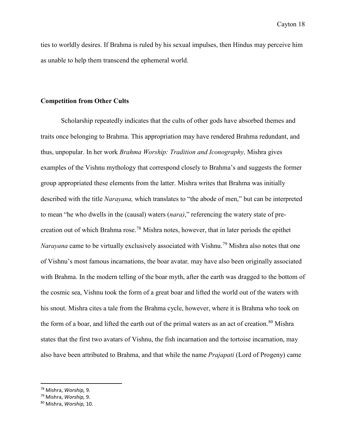ties to worldly desires. If Brahma is ruled by his sexual impulses, then Hindus may perceive him as unable to help them transcend the ephemeral world.

# **Competition from Other Cults**

Scholarship repeatedly indicates that the cults of other gods have absorbed themes and traits once belonging to Brahma. This appropriation may have rendered Brahma redundant, and thus, unpopular. In her work *Brahma Worship: Tradition and Iconography,* Mishra gives examples of the Vishnu mythology that correspond closely to Brahma's and suggests the former group appropriated these elements from the latter. Mishra writes that Brahma was initially described with the title *Narayana,* which translates to "the abode of men," but can be interpreted to mean "he who dwells in the (causal) waters (*nara)*," referencing the watery state of precreation out of which Brahma rose.[78](#page-23-0) Mishra notes, however, that in later periods the epithet *Narayana* came to be virtually exclusively associated with Vishnu.<sup>[79](#page-23-1)</sup> Mishra also notes that one of Vishnu's most famous incarnations, the boar avatar*,* may have also been originally associated with Brahma. In the modern telling of the boar myth, after the earth was dragged to the bottom of the cosmic sea, Vishnu took the form of a great boar and lifted the world out of the waters with his snout. Mishra cites a tale from the Brahma cycle, however, where it is Brahma who took on the form of a boar, and lifted the earth out of the primal waters as an act of creation.<sup>[80](#page-23-2)</sup> Mishra states that the first two avatars of Vishnu, the fish incarnation and the tortoise incarnation, may also have been attributed to Brahma, and that while the name *Prajapati* (Lord of Progeny) came

<span id="page-23-0"></span> <sup>78</sup> Mishra, *Worship,* 9.

<span id="page-23-1"></span><sup>79</sup> Mishra, *Worship,* 9.

<span id="page-23-2"></span><sup>80</sup> Mishra, *Worship,* 10.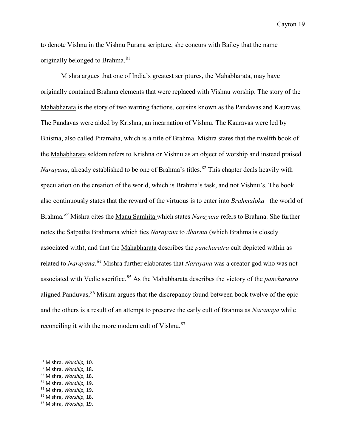to denote Vishnu in the Vishnu Purana scripture, she concurs with Bailey that the name originally belonged to Brahma.<sup>81</sup>

 Mishra argues that one of India's greatest scriptures, the Mahabharata, may have originally contained Brahma elements that were replaced with Vishnu worship. The story of the Mahabharata is the story of two warring factions, cousins known as the Pandavas and Kauravas. The Pandavas were aided by Krishna, an incarnation of Vishnu. The Kauravas were led by Bhisma, also called Pitamaha, which is a title of Brahma. Mishra states that the twelfth book of the Mahabharata seldom refers to Krishna or Vishnu as an object of worship and instead praised *Narayana*, already established to be one of Brahma's titles.<sup>[82](#page-24-1)</sup> This chapter deals heavily with speculation on the creation of the world, which is Brahma's task, and not Vishnu's. The book also continuously states that the reward of the virtuous is to enter into *Brahmaloka*– the world of Brahma*. [83](#page-24-2)* Mishra cites the Manu Samhita which states *Narayana* refers to Brahma. She further notes the Satpatha Brahmana which ties *Narayana* to *dharma* (which Brahma is closely associated with), and that the Mahabharata describes the *pancharatra* cult depicted within as related to *Narayana.[84](#page-24-3)* Mishra further elaborates that *Narayana* was a creator god who was not associated with Vedic sacrifice.<sup>[85](#page-24-4)</sup> As the Mahabharata describes the victory of the *pancharatra* aligned Panduvas,  $86$  Mishra argues that the discrepancy found between book twelve of the epic and the others is a result of an attempt to preserve the early cult of Brahma as *Naranaya* while reconciling it with the more modern cult of Vishnu.<sup>[87](#page-24-6)</sup>

 $\overline{\phantom{a}}$ 

<span id="page-24-1"></span>

<span id="page-24-2"></span>

<span id="page-24-4"></span><span id="page-24-3"></span>

<span id="page-24-0"></span><sup>81</sup> Mishra, *Worship,* 10. 82 Mishra, *Worship,* 18. 83 Mishra, *Worship,* 18. 84 Mishra, *Worship,* 19. 85 Mishra, *Worship,* 19. 86 Mishra, *Worship,* 18. 87 Mishra, *Worship,* 19.

<span id="page-24-5"></span>

<span id="page-24-6"></span>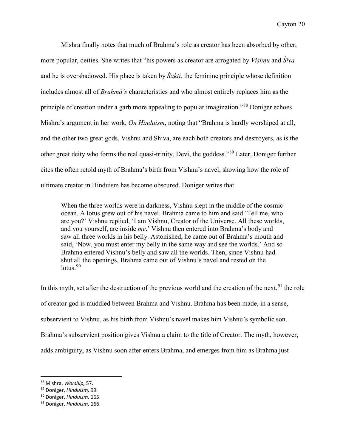Mishra finally notes that much of Brahma's role as creator has been absorbed by other, more popular, deities. She writes that "his powers as creator are arrogated by *Viṣhṇu* and *Śiva* and he is overshadowed. His place is taken by *Śakti,* the feminine principle whose definition includes almost all of *Brahmā's* characteristics and who almost entirely replaces him as the principle of creation under a garb more appealing to popular imagination."[88](#page-25-0) Doniger echoes Mishra's argument in her work, *On Hinduism*, noting that "Brahma is hardly worshiped at all, and the other two great gods, Vishnu and Shiva, are each both creators and destroyers, as is the other great deity who forms the real quasi-trinity, Devi, the goddess."[89](#page-25-1) Later, Doniger further cites the often retold myth of Brahma's birth from Vishnu's navel, showing how the role of ultimate creator in Hinduism has become obscured. Doniger writes that

When the three worlds were in darkness, Vishnu slept in the middle of the cosmic ocean. A lotus grew out of his navel. Brahma came to him and said 'Tell me, who are you?' Vishnu replied, 'I am Vishnu, Creator of the Universe. All these worlds, and you yourself, are inside *me*.' Vishnu then entered into Brahma's body and saw all three worlds in his belly. Astonished, he came out of Brahma's mouth and said, 'Now, you must enter my belly in the same way and see the worlds.' And so Brahma entered Vishnu's belly and saw all the worlds. Then, since Vishnu had shut all the openings, Brahma came out of Vishnu's navel and rested on the  $lotus.<sup>90</sup>$  $lotus.<sup>90</sup>$  $lotus.<sup>90</sup>$ 

In this myth, set after the destruction of the previous world and the creation of the next,  $91$  the role of creator god is muddled between Brahma and Vishnu. Brahma has been made, in a sense, subservient to Vishnu, as his birth from Vishnu's navel makes him Vishnu's symbolic son. Brahma's subservient position gives Vishnu a claim to the title of Creator. The myth, however, adds ambiguity, as Vishnu soon after enters Brahma, and emerges from him as Brahma just

<span id="page-25-0"></span> <sup>88</sup> Mishra, *Worship,* 57.

<span id="page-25-1"></span><sup>89</sup> Doniger, *Hinduism,* 99.

<span id="page-25-2"></span><sup>90</sup> Doniger, *Hinduism,* 165.

<span id="page-25-3"></span><sup>91</sup> Doniger, *Hinduism,* 166.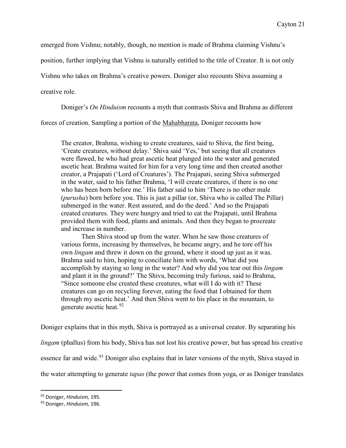emerged from Vishnu; notably, though, no mention is made of Brahma claiming Vishnu's

position, further implying that Vishnu is naturally entitled to the title of Creator. It is not only

Vishnu who takes on Brahma's creative powers. Doniger also recounts Shiva assuming a

creative role.

Doniger's *On Hinduism* recounts a myth that contrasts Shiva and Brahma as different

forces of creation. Sampling a portion of the Mahabharata, Doniger recounts how

The creator, Brahma, wishing to create creatures, said to Shiva, the first being, 'Create creatures, without delay.' Shiva said 'Yes,' but seeing that all creatures were flawed, he who had great ascetic heat plunged into the water and generated ascetic heat. Brahma waited for him for a very long time and then created another creator, a Prajapati ('Lord of Creatures'). The Prajapati, seeing Shiva submerged in the water, said to his father Brahma, 'I will create creatures, if there is no one who has been born before me.' His father said to him 'There is no other male (*purusha*) born before you. This is just a pillar (or, Shiva who is called The Pillar) submerged in the water. Rest assured, and do the deed.' And so the Prajapati created creatures. They were hungry and tried to eat the Prajapati, until Brahma provided them with food, plants and animals. And then they began to procreate and increase in number.

 Then Shiva stood up from the water. When he saw those creatures of various forms, increasing by themselves, he became angry, and he tore off his own *lingam* and threw it down on the ground, where it stood up just as it was. Brahma said to him, hoping to conciliate him with words, 'What did you accomplish by staying so long in the water? And why did you tear out this *lingam*  and plant it in the ground?' The Shiva, becoming truly furious, said to Brahma, "Since someone else created these creatures, what will I do with it? These creatures can go on recycling forever, eating the food that I obtained for them through my ascetic heat.' And then Shiva went to his place in the mountain, to generate ascetic heat.<sup>[92](#page-26-0)</sup>

Doniger explains that in this myth, Shiva is portrayed as a universal creator. By separating his

*lingam* (phallus) from his body, Shiva has not lost his creative power, but has spread his creative

essence far and wide.<sup>[93](#page-26-1)</sup> Doniger also explains that in later versions of the myth, Shiva stayed in

the water attempting to generate *tapas* (the power that comes from yoga, or as Doniger translates

 $\overline{\phantom{a}}$ 

<span id="page-26-0"></span><sup>92</sup> Doniger, *Hinduism,* 195.

<span id="page-26-1"></span><sup>93</sup> Doniger, *Hinduism,* 196.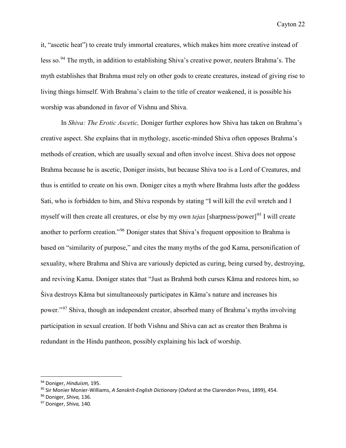it, "ascetic heat") to create truly immortal creatures, which makes him more creative instead of less so.<sup>[94](#page-27-0)</sup> The myth, in addition to establishing Shiva's creative power, neuters Brahma's. The myth establishes that Brahma must rely on other gods to create creatures, instead of giving rise to living things himself. With Brahma's claim to the title of creator weakened, it is possible his worship was abandoned in favor of Vishnu and Shiva.

In *Shiva: The Erotic Ascetic,* Doniger further explores how Shiva has taken on Brahma's creative aspect. She explains that in mythology, ascetic-minded Shiva often opposes Brahma's methods of creation, which are usually sexual and often involve incest. Shiva does not oppose Brahma because he is ascetic, Doniger insists, but because Shiva too is a Lord of Creatures, and thus is entitled to create on his own. Doniger cites a myth where Brahma lusts after the goddess Sati, who is forbidden to him, and Shiva responds by stating "I will kill the evil wretch and I myself will then create all creatures, or else by my own *tejas* [sharpness/power]<sup>[95](#page-27-1)</sup> I will create another to perform creation."[96](#page-27-2) Doniger states that Shiva's frequent opposition to Brahma is based on "similarity of purpose," and cites the many myths of the god Kama, personification of sexuality, where Brahma and Shiva are variously depicted as curing, being cursed by, destroying, and reviving Kama. Doniger states that "Just as Brahmā both curses Kāma and restores him, so Śiva destroys Kāma but simultaneously participates in Kāma's nature and increases his power."[97](#page-27-3) Shiva, though an independent creator, absorbed many of Brahma's myths involving participation in sexual creation. If both Vishnu and Shiva can act as creator then Brahma is redundant in the Hindu pantheon, possibly explaining his lack of worship.

<span id="page-27-0"></span> <sup>94</sup> Doniger, *Hinduism,* 195.

<span id="page-27-1"></span><sup>95</sup> Sir Monier Monier-Williams, *A Sanskrit-English Dictionary* (Oxford at the Clarendon Press, 1899), 454.

<span id="page-27-2"></span><sup>96</sup> Doniger, *Shiva,* 136.

<span id="page-27-3"></span><sup>97</sup> Doniger, *Shiva,* 140.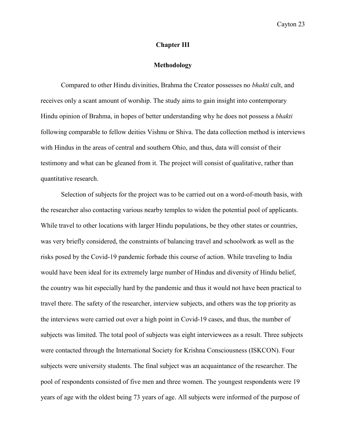# **Chapter III**

#### **Methodology**

Compared to other Hindu divinities, Brahma the Creator possesses no *bhakti* cult, and receives only a scant amount of worship. The study aims to gain insight into contemporary Hindu opinion of Brahma, in hopes of better understanding why he does not possess a *bhakti*  following comparable to fellow deities Vishnu or Shiva. The data collection method is interviews with Hindus in the areas of central and southern Ohio, and thus, data will consist of their testimony and what can be gleaned from it. The project will consist of qualitative, rather than quantitative research.

Selection of subjects for the project was to be carried out on a word-of-mouth basis, with the researcher also contacting various nearby temples to widen the potential pool of applicants. While travel to other locations with larger Hindu populations, be they other states or countries, was very briefly considered, the constraints of balancing travel and schoolwork as well as the risks posed by the Covid-19 pandemic forbade this course of action. While traveling to India would have been ideal for its extremely large number of Hindus and diversity of Hindu belief, the country was hit especially hard by the pandemic and thus it would not have been practical to travel there. The safety of the researcher, interview subjects, and others was the top priority as the interviews were carried out over a high point in Covid-19 cases, and thus, the number of subjects was limited. The total pool of subjects was eight interviewees as a result. Three subjects were contacted through the International Society for Krishna Consciousness (ISKCON). Four subjects were university students. The final subject was an acquaintance of the researcher. The pool of respondents consisted of five men and three women. The youngest respondents were 19 years of age with the oldest being 73 years of age. All subjects were informed of the purpose of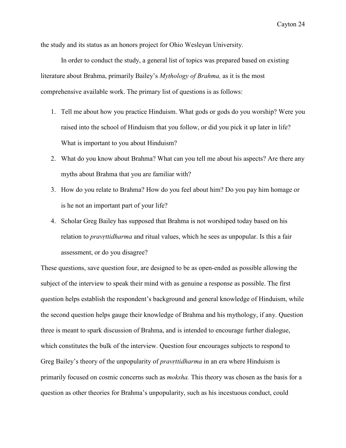the study and its status as an honors project for Ohio Wesleyan University.

In order to conduct the study, a general list of topics was prepared based on existing literature about Brahma, primarily Bailey's *Mythology of Brahma,* as it is the most comprehensive available work. The primary list of questions is as follows:

- 1. Tell me about how you practice Hinduism. What gods or gods do you worship? Were you raised into the school of Hinduism that you follow, or did you pick it up later in life? What is important to you about Hinduism?
- 2. What do you know about Brahma? What can you tell me about his aspects? Are there any myths about Brahma that you are familiar with?
- 3. How do you relate to Brahma? How do you feel about him? Do you pay him homage or is he not an important part of your life?
- 4. Scholar Greg Bailey has supposed that Brahma is not worshiped today based on his relation to *pravṛttidharma* and ritual values, which he sees as unpopular. Is this a fair assessment, or do you disagree?

These questions, save question four, are designed to be as open-ended as possible allowing the subject of the interview to speak their mind with as genuine a response as possible. The first question helps establish the respondent's background and general knowledge of Hinduism, while the second question helps gauge their knowledge of Brahma and his mythology, if any. Question three is meant to spark discussion of Brahma, and is intended to encourage further dialogue, which constitutes the bulk of the interview. Question four encourages subjects to respond to Greg Bailey's theory of the unpopularity of *pravṛttidharma* in an era where Hinduism is primarily focused on cosmic concerns such as *moksha.* This theory was chosen as the basis for a question as other theories for Brahma's unpopularity, such as his incestuous conduct, could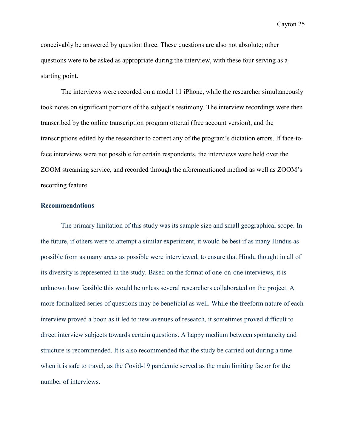conceivably be answered by question three. These questions are also not absolute; other questions were to be asked as appropriate during the interview, with these four serving as a starting point.

The interviews were recorded on a model 11 iPhone, while the researcher simultaneously took notes on significant portions of the subject's testimony. The interview recordings were then transcribed by the online transcription program otter.ai (free account version), and the transcriptions edited by the researcher to correct any of the program's dictation errors. If face-toface interviews were not possible for certain respondents, the interviews were held over the ZOOM streaming service, and recorded through the aforementioned method as well as ZOOM's recording feature.

# **Recommendations**

The primary limitation of this study was its sample size and small geographical scope. In the future, if others were to attempt a similar experiment, it would be best if as many Hindus as possible from as many areas as possible were interviewed, to ensure that Hindu thought in all of its diversity is represented in the study. Based on the format of one-on-one interviews, it is unknown how feasible this would be unless several researchers collaborated on the project. A more formalized series of questions may be beneficial as well. While the freeform nature of each interview proved a boon as it led to new avenues of research, it sometimes proved difficult to direct interview subjects towards certain questions. A happy medium between spontaneity and structure is recommended. It is also recommended that the study be carried out during a time when it is safe to travel, as the Covid-19 pandemic served as the main limiting factor for the number of interviews.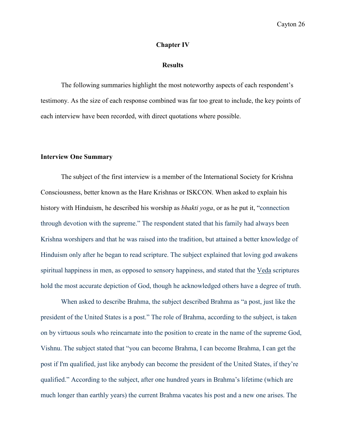## **Chapter IV**

#### **Results**

The following summaries highlight the most noteworthy aspects of each respondent's testimony. As the size of each response combined was far too great to include, the key points of each interview have been recorded, with direct quotations where possible.

#### **Interview One Summary**

The subject of the first interview is a member of the International Society for Krishna Consciousness, better known as the Hare Krishnas or ISKCON. When asked to explain his history with Hinduism, he described his worship as *bhakti yoga*, or as he put it, "connection through devotion with the supreme." The respondent stated that his family had always been Krishna worshipers and that he was raised into the tradition, but attained a better knowledge of Hinduism only after he began to read scripture. The subject explained that loving god awakens spiritual happiness in men, as opposed to sensory happiness, and stated that the Veda scriptures hold the most accurate depiction of God, though he acknowledged others have a degree of truth.

 When asked to describe Brahma, the subject described Brahma as "a post, just like the president of the United States is a post." The role of Brahma, according to the subject, is taken on by virtuous souls who reincarnate into the position to create in the name of the supreme God, Vishnu. The subject stated that "you can become Brahma, I can become Brahma, I can get the post if I'm qualified, just like anybody can become the president of the United States, if they're qualified." According to the subject, after one hundred years in Brahma's lifetime (which are much longer than earthly years) the current Brahma vacates his post and a new one arises. The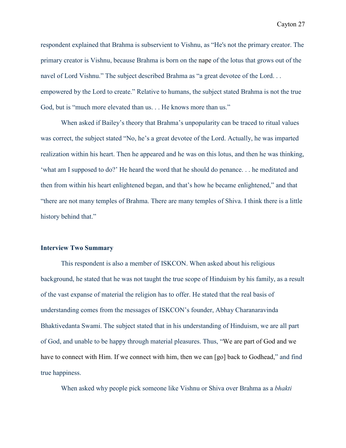respondent explained that Brahma is subservient to Vishnu, as "He's not the primary creator. The primary creator is Vishnu, because Brahma is born on the nape of the lotus that grows out of the navel of Lord Vishnu." The subject described Brahma as "a great devotee of the Lord. . . empowered by the Lord to create." Relative to humans, the subject stated Brahma is not the true God, but is "much more elevated than us. . . He knows more than us."

 When asked if Bailey's theory that Brahma's unpopularity can be traced to ritual values was correct, the subject stated "No, he's a great devotee of the Lord. Actually, he was imparted realization within his heart. Then he appeared and he was on this lotus, and then he was thinking, 'what am I supposed to do?' He heard the word that he should do penance. . . he meditated and then from within his heart enlightened began, and that's how he became enlightened," and that "there are not many temples of Brahma. There are many temples of Shiva. I think there is a little history behind that."

#### **Interview Two Summary**

This respondent is also a member of ISKCON. When asked about his religious background, he stated that he was not taught the true scope of Hinduism by his family, as a result of the vast expanse of material the religion has to offer. He stated that the real basis of understanding comes from the messages of ISKCON's founder, Abhay Charanaravinda Bhaktivedanta Swami. The subject stated that in his understanding of Hinduism, we are all part of God, and unable to be happy through material pleasures. Thus, "We are part of God and we have to connect with Him. If we connect with him, then we can [go] back to Godhead," and find true happiness.

When asked why people pick someone like Vishnu or Shiva over Brahma as a *bhakti*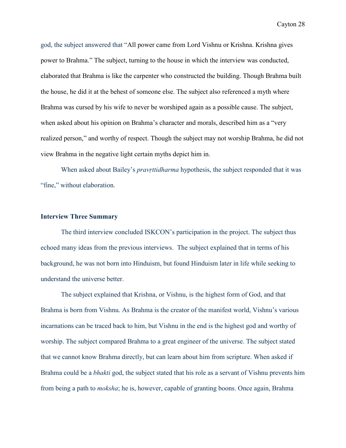god, the subject answered that "All power came from Lord Vishnu or Krishna. Krishna gives power to Brahma." The subject, turning to the house in which the interview was conducted, elaborated that Brahma is like the carpenter who constructed the building. Though Brahma built the house, he did it at the behest of someone else. The subject also referenced a myth where Brahma was cursed by his wife to never be worshiped again as a possible cause. The subject, when asked about his opinion on Brahma's character and morals, described him as a "very realized person," and worthy of respect. Though the subject may not worship Brahma, he did not view Brahma in the negative light certain myths depict him in.

 When asked about Bailey's *pravṛttidharma* hypothesis, the subject responded that it was "fine," without elaboration.

## **Interview Three Summary**

 The third interview concluded ISKCON's participation in the project. The subject thus echoed many ideas from the previous interviews. The subject explained that in terms of his background, he was not born into Hinduism, but found Hinduism later in life while seeking to understand the universe better.

 The subject explained that Krishna, or Vishnu, is the highest form of God, and that Brahma is born from Vishnu. As Brahma is the creator of the manifest world, Vishnu's various incarnations can be traced back to him, but Vishnu in the end is the highest god and worthy of worship. The subject compared Brahma to a great engineer of the universe. The subject stated that we cannot know Brahma directly, but can learn about him from scripture. When asked if Brahma could be a *bhakti* god, the subject stated that his role as a servant of Vishnu prevents him from being a path to *moksha*; he is, however, capable of granting boons. Once again, Brahma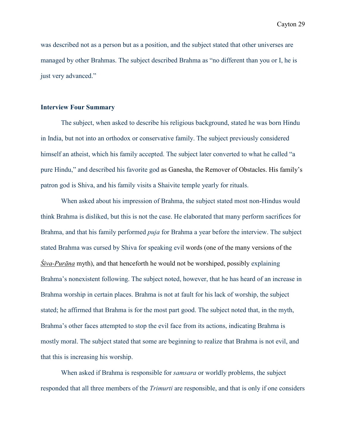was described not as a person but as a position, and the subject stated that other universes are managed by other Brahmas. The subject described Brahma as "no different than you or I, he is just very advanced."

#### **Interview Four Summary**

 The subject, when asked to describe his religious background, stated he was born Hindu in India, but not into an orthodox or conservative family. The subject previously considered himself an atheist, which his family accepted. The subject later converted to what he called "a pure Hindu," and described his favorite god as Ganesha, the Remover of Obstacles. His family's patron god is Shiva, and his family visits a Shaivite temple yearly for rituals.

 When asked about his impression of Brahma, the subject stated most non-Hindus would think Brahma is disliked, but this is not the case. He elaborated that many perform sacrifices for Brahma, and that his family performed *puja* for Brahma a year before the interview. The subject stated Brahma was cursed by Shiva for speaking evil words (one of the many versions of the *Śiva-Purāna* myth), and that henceforth he would not be worshiped, possibly explaining Brahma's nonexistent following. The subject noted, however, that he has heard of an increase in Brahma worship in certain places. Brahma is not at fault for his lack of worship, the subject stated; he affirmed that Brahma is for the most part good. The subject noted that, in the myth, Brahma's other faces attempted to stop the evil face from its actions, indicating Brahma is mostly moral. The subject stated that some are beginning to realize that Brahma is not evil, and that this is increasing his worship.

 When asked if Brahma is responsible for *samsara* or worldly problems, the subject responded that all three members of the *Trimurti* are responsible, and that is only if one considers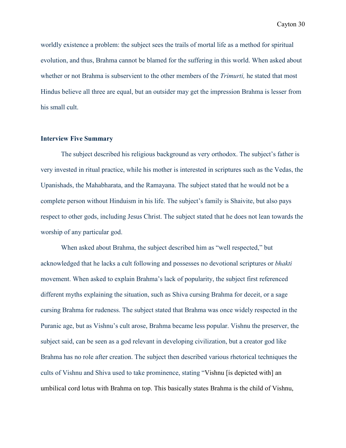worldly existence a problem: the subject sees the trails of mortal life as a method for spiritual evolution, and thus, Brahma cannot be blamed for the suffering in this world. When asked about whether or not Brahma is subservient to the other members of the *Trimurti,* he stated that most Hindus believe all three are equal, but an outsider may get the impression Brahma is lesser from his small cult.

# **Interview Five Summary**

 The subject described his religious background as very orthodox. The subject's father is very invested in ritual practice, while his mother is interested in scriptures such as the Vedas, the Upanishads, the Mahabharata, and the Ramayana. The subject stated that he would not be a complete person without Hinduism in his life. The subject's family is Shaivite, but also pays respect to other gods, including Jesus Christ. The subject stated that he does not lean towards the worship of any particular god.

When asked about Brahma, the subject described him as "well respected," but acknowledged that he lacks a cult following and possesses no devotional scriptures or *bhakti*  movement. When asked to explain Brahma's lack of popularity, the subject first referenced different myths explaining the situation, such as Shiva cursing Brahma for deceit, or a sage cursing Brahma for rudeness. The subject stated that Brahma was once widely respected in the Puranic age, but as Vishnu's cult arose, Brahma became less popular. Vishnu the preserver, the subject said, can be seen as a god relevant in developing civilization, but a creator god like Brahma has no role after creation. The subject then described various rhetorical techniques the cults of Vishnu and Shiva used to take prominence, stating "Vishnu [is depicted with] an umbilical cord lotus with Brahma on top. This basically states Brahma is the child of Vishnu,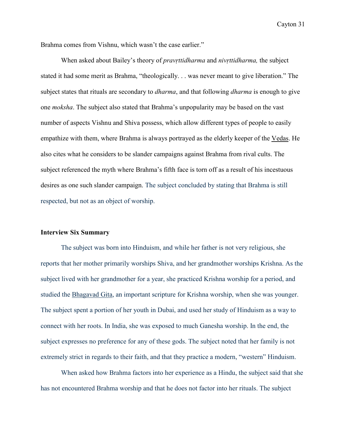Brahma comes from Vishnu, which wasn't the case earlier."

 When asked about Bailey's theory of *pravṛttidharma* and *nivṛttidharma,* the subject stated it had some merit as Brahma, "theologically. . . was never meant to give liberation." The subject states that rituals are secondary to *dharma*, and that following *dharma* is enough to give one *moksha*. The subject also stated that Brahma's unpopularity may be based on the vast number of aspects Vishnu and Shiva possess, which allow different types of people to easily empathize with them, where Brahma is always portrayed as the elderly keeper of the Vedas. He also cites what he considers to be slander campaigns against Brahma from rival cults. The subject referenced the myth where Brahma's fifth face is torn off as a result of his incestuous desires as one such slander campaign. The subject concluded by stating that Brahma is still respected, but not as an object of worship.

#### **Interview Six Summary**

 The subject was born into Hinduism, and while her father is not very religious, she reports that her mother primarily worships Shiva, and her grandmother worships Krishna. As the subject lived with her grandmother for a year, she practiced Krishna worship for a period, and studied the Bhagavad Gita, an important scripture for Krishna worship, when she was younger. The subject spent a portion of her youth in Dubai, and used her study of Hinduism as a way to connect with her roots. In India, she was exposed to much Ganesha worship. In the end, the subject expresses no preference for any of these gods. The subject noted that her family is not extremely strict in regards to their faith, and that they practice a modern, "western" Hinduism.

 When asked how Brahma factors into her experience as a Hindu, the subject said that she has not encountered Brahma worship and that he does not factor into her rituals. The subject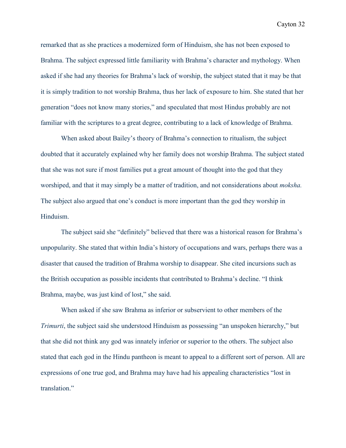remarked that as she practices a modernized form of Hinduism, she has not been exposed to Brahma. The subject expressed little familiarity with Brahma's character and mythology. When asked if she had any theories for Brahma's lack of worship, the subject stated that it may be that it is simply tradition to not worship Brahma, thus her lack of exposure to him. She stated that her generation "does not know many stories," and speculated that most Hindus probably are not familiar with the scriptures to a great degree, contributing to a lack of knowledge of Brahma.

 When asked about Bailey's theory of Brahma's connection to ritualism, the subject doubted that it accurately explained why her family does not worship Brahma. The subject stated that she was not sure if most families put a great amount of thought into the god that they worshiped, and that it may simply be a matter of tradition, and not considerations about *moksha.* The subject also argued that one's conduct is more important than the god they worship in Hinduism.

The subject said she "definitely" believed that there was a historical reason for Brahma's unpopularity. She stated that within India's history of occupations and wars, perhaps there was a disaster that caused the tradition of Brahma worship to disappear. She cited incursions such as the British occupation as possible incidents that contributed to Brahma's decline. "I think Brahma, maybe, was just kind of lost," she said.

 When asked if she saw Brahma as inferior or subservient to other members of the *Trimurti*, the subject said she understood Hinduism as possessing "an unspoken hierarchy," but that she did not think any god was innately inferior or superior to the others. The subject also stated that each god in the Hindu pantheon is meant to appeal to a different sort of person. All are expressions of one true god, and Brahma may have had his appealing characteristics "lost in translation."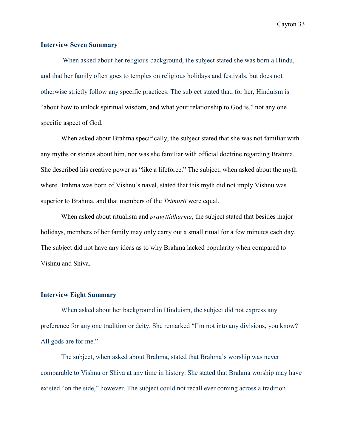# **Interview Seven Summary**

 When asked about her religious background, the subject stated she was born a Hindu, and that her family often goes to temples on religious holidays and festivals, but does not otherwise strictly follow any specific practices. The subject stated that, for her, Hinduism is "about how to unlock spiritual wisdom, and what your relationship to God is," not any one specific aspect of God.

When asked about Brahma specifically, the subject stated that she was not familiar with any myths or stories about him, nor was she familiar with official doctrine regarding Brahma. She described his creative power as "like a lifeforce." The subject, when asked about the myth where Brahma was born of Vishnu's navel, stated that this myth did not imply Vishnu was superior to Brahma, and that members of the *Trimurti* were equal.

 When asked about ritualism and *pravṛttidharma*, the subject stated that besides major holidays, members of her family may only carry out a small ritual for a few minutes each day. The subject did not have any ideas as to why Brahma lacked popularity when compared to Vishnu and Shiva.

#### **Interview Eight Summary**

 When asked about her background in Hinduism, the subject did not express any preference for any one tradition or deity. She remarked "I'm not into any divisions, you know? All gods are for me."

 The subject, when asked about Brahma, stated that Brahma's worship was never comparable to Vishnu or Shiva at any time in history. She stated that Brahma worship may have existed "on the side," however. The subject could not recall ever coming across a tradition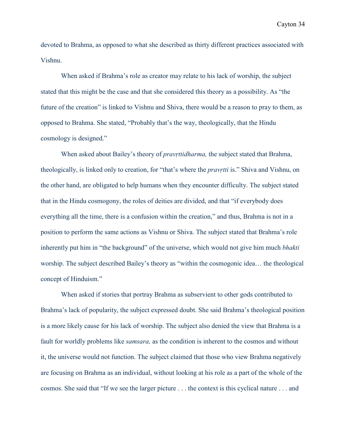devoted to Brahma, as opposed to what she described as thirty different practices associated with Vishnu.

When asked if Brahma's role as creator may relate to his lack of worship, the subject stated that this might be the case and that she considered this theory as a possibility. As "the future of the creation" is linked to Vishnu and Shiva, there would be a reason to pray to them, as opposed to Brahma. She stated, "Probably that's the way, theologically, that the Hindu cosmology is designed."

 When asked about Bailey's theory of *pravṛttidharma,* the subject stated that Brahma, theologically, is linked only to creation, for "that's where the *pravṛtti* is." Shiva and Vishnu, on the other hand, are obligated to help humans when they encounter difficulty. The subject stated that in the Hindu cosmogony, the roles of deities are divided, and that "if everybody does everything all the time, there is a confusion within the creation," and thus, Brahma is not in a position to perform the same actions as Vishnu or Shiva. The subject stated that Brahma's role inherently put him in "the background" of the universe, which would not give him much *bhakti*  worship. The subject described Bailey's theory as "within the cosmogonic idea… the theological concept of Hinduism."

 When asked if stories that portray Brahma as subservient to other gods contributed to Brahma's lack of popularity, the subject expressed doubt. She said Brahma's theological position is a more likely cause for his lack of worship. The subject also denied the view that Brahma is a fault for worldly problems like *samsara,* as the condition is inherent to the cosmos and without it, the universe would not function. The subject claimed that those who view Brahma negatively are focusing on Brahma as an individual, without looking at his role as a part of the whole of the cosmos. She said that "If we see the larger picture . . . the context is this cyclical nature . . . and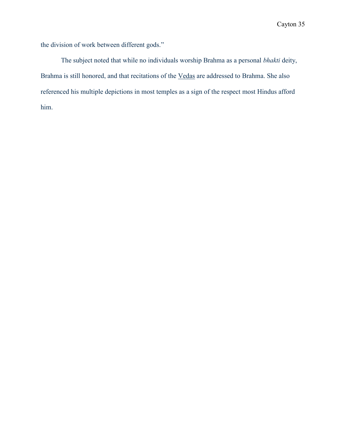the division of work between different gods."

 The subject noted that while no individuals worship Brahma as a personal *bhakti* deity, Brahma is still honored, and that recitations of the Vedas are addressed to Brahma. She also referenced his multiple depictions in most temples as a sign of the respect most Hindus afford him.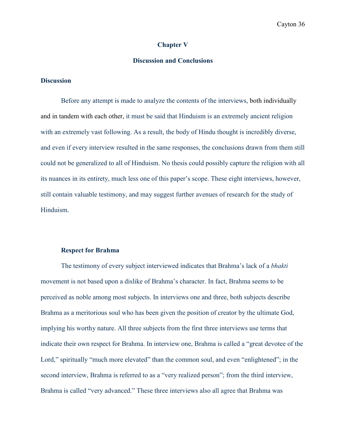#### **Chapter V**

# **Discussion and Conclusions**

# **Discussion**

Before any attempt is made to analyze the contents of the interviews, both individually and in tandem with each other, it must be said that Hinduism is an extremely ancient religion with an extremely vast following. As a result, the body of Hindu thought is incredibly diverse, and even if every interview resulted in the same responses, the conclusions drawn from them still could not be generalized to all of Hinduism. No thesis could possibly capture the religion with all its nuances in its entirety, much less one of this paper's scope. These eight interviews, however, still contain valuable testimony, and may suggest further avenues of research for the study of Hinduism.

#### **Respect for Brahma**

The testimony of every subject interviewed indicates that Brahma's lack of a *bhakti*  movement is not based upon a dislike of Brahma's character. In fact, Brahma seems to be perceived as noble among most subjects. In interviews one and three, both subjects describe Brahma as a meritorious soul who has been given the position of creator by the ultimate God, implying his worthy nature. All three subjects from the first three interviews use terms that indicate their own respect for Brahma. In interview one, Brahma is called a "great devotee of the Lord," spiritually "much more elevated" than the common soul, and even "enlightened"; in the second interview, Brahma is referred to as a "very realized person"; from the third interview, Brahma is called "very advanced." These three interviews also all agree that Brahma was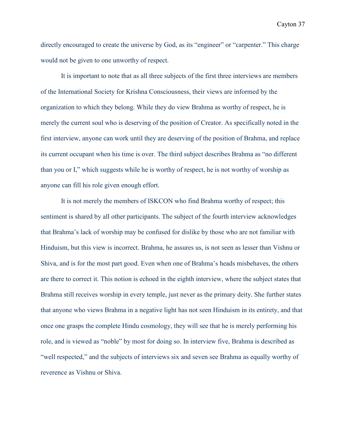directly encouraged to create the universe by God, as its "engineer" or "carpenter." This charge would not be given to one unworthy of respect.

It is important to note that as all three subjects of the first three interviews are members of the International Society for Krishna Consciousness, their views are informed by the organization to which they belong. While they do view Brahma as worthy of respect, he is merely the current soul who is deserving of the position of Creator. As specifically noted in the first interview, anyone can work until they are deserving of the position of Brahma, and replace its current occupant when his time is over. The third subject describes Brahma as "no different than you or I," which suggests while he is worthy of respect, he is not worthy of worship as anyone can fill his role given enough effort.

It is not merely the members of ISKCON who find Brahma worthy of respect; this sentiment is shared by all other participants. The subject of the fourth interview acknowledges that Brahma's lack of worship may be confused for dislike by those who are not familiar with Hinduism, but this view is incorrect. Brahma, he assures us, is not seen as lesser than Vishnu or Shiva, and is for the most part good. Even when one of Brahma's heads misbehaves, the others are there to correct it. This notion is echoed in the eighth interview, where the subject states that Brahma still receives worship in every temple, just never as the primary deity. She further states that anyone who views Brahma in a negative light has not seen Hinduism in its entirety, and that once one grasps the complete Hindu cosmology, they will see that he is merely performing his role, and is viewed as "noble" by most for doing so. In interview five, Brahma is described as "well respected," and the subjects of interviews six and seven see Brahma as equally worthy of reverence as Vishnu or Shiva.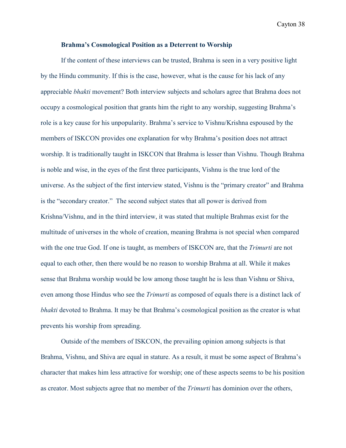#### **Brahma's Cosmological Position as a Deterrent to Worship**

If the content of these interviews can be trusted, Brahma is seen in a very positive light by the Hindu community. If this is the case, however, what is the cause for his lack of any appreciable *bhakti* movement? Both interview subjects and scholars agree that Brahma does not occupy a cosmological position that grants him the right to any worship, suggesting Brahma's role is a key cause for his unpopularity. Brahma's service to Vishnu/Krishna espoused by the members of ISKCON provides one explanation for why Brahma's position does not attract worship. It is traditionally taught in ISKCON that Brahma is lesser than Vishnu. Though Brahma is noble and wise, in the eyes of the first three participants, Vishnu is the true lord of the universe. As the subject of the first interview stated, Vishnu is the "primary creator" and Brahma is the "secondary creator." The second subject states that all power is derived from Krishna/Vishnu, and in the third interview, it was stated that multiple Brahmas exist for the multitude of universes in the whole of creation, meaning Brahma is not special when compared with the one true God. If one is taught, as members of ISKCON are, that the *Trimurti* are not equal to each other, then there would be no reason to worship Brahma at all. While it makes sense that Brahma worship would be low among those taught he is less than Vishnu or Shiva, even among those Hindus who see the *Trimurti* as composed of equals there is a distinct lack of *bhakti* devoted to Brahma. It may be that Brahma's cosmological position as the creator is what prevents his worship from spreading.

Outside of the members of ISKCON, the prevailing opinion among subjects is that Brahma, Vishnu, and Shiva are equal in stature. As a result, it must be some aspect of Brahma's character that makes him less attractive for worship; one of these aspects seems to be his position as creator. Most subjects agree that no member of the *Trimurti* has dominion over the others,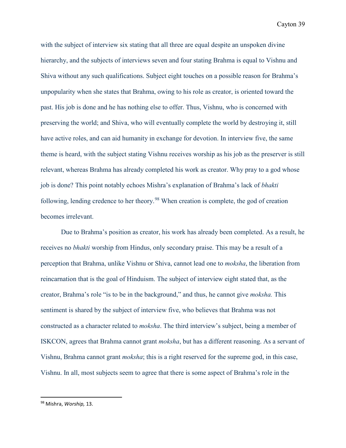with the subject of interview six stating that all three are equal despite an unspoken divine hierarchy, and the subjects of interviews seven and four stating Brahma is equal to Vishnu and Shiva without any such qualifications. Subject eight touches on a possible reason for Brahma's unpopularity when she states that Brahma, owing to his role as creator, is oriented toward the past. His job is done and he has nothing else to offer. Thus, Vishnu, who is concerned with preserving the world; and Shiva, who will eventually complete the world by destroying it, still have active roles, and can aid humanity in exchange for devotion. In interview five, the same theme is heard, with the subject stating Vishnu receives worship as his job as the preserver is still relevant, whereas Brahma has already completed his work as creator. Why pray to a god whose job is done? This point notably echoes Mishra's explanation of Brahma's lack of *bhakti*  following, lending credence to her theory.<sup>[98](#page-44-0)</sup> When creation is complete, the god of creation becomes irrelevant.

Due to Brahma's position as creator, his work has already been completed. As a result, he receives no *bhakti* worship from Hindus, only secondary praise. This may be a result of a perception that Brahma, unlike Vishnu or Shiva, cannot lead one to *moksha*, the liberation from reincarnation that is the goal of Hinduism. The subject of interview eight stated that, as the creator, Brahma's role "is to be in the background," and thus, he cannot give *moksha.* This sentiment is shared by the subject of interview five, who believes that Brahma was not constructed as a character related to *moksha*. The third interview's subject, being a member of ISKCON, agrees that Brahma cannot grant *moksha*, but has a different reasoning. As a servant of Vishnu, Brahma cannot grant *moksha*; this is a right reserved for the supreme god, in this case, Vishnu. In all, most subjects seem to agree that there is some aspect of Brahma's role in the

<span id="page-44-0"></span> <sup>98</sup> Mishra, *Worship,* 13.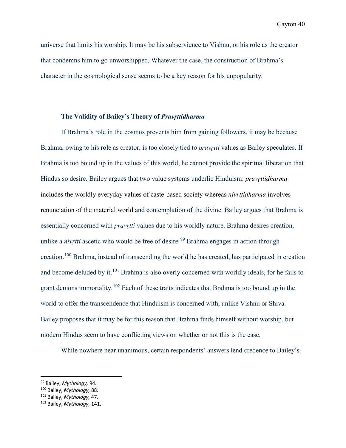universe that limits his worship. It may be his subservience to Vishnu, or his role as the creator that condemns him to go unworshipped. Whatever the case, the construction of Brahma's character in the cosmological sense seems to be a key reason for his unpopularity.

# **The Validity of Bailey's Theory of** *Pravṛttidharma*

If Brahma's role in the cosmos prevents him from gaining followers, it may be because Brahma, owing to his role as creator, is too closely tied to *pravṛtti* values as Bailey speculates. If Brahma is too bound up in the values of this world, he cannot provide the spiritual liberation that Hindus so desire. Bailey argues that two value systems underlie Hinduism: *pravṛttidharma*  includes the worldly everyday values of caste-based society whereas *nivṛttidharma* involves renunciation of the material world and contemplation of the divine. Bailey argues that Brahma is essentially concerned with *pravṛtti* values due to his worldly nature. Brahma desires creation, unlike a *nivrtti* ascetic who would be free of desire.<sup>[99](#page-45-0)</sup> Brahma engages in action through creation.[100](#page-45-1) Brahma, instead of transcending the world he has created, has participated in creation and become deluded by it.<sup>[101](#page-45-2)</sup> Brahma is also overly concerned with worldly ideals, for he fails to grant demons immortality.<sup>[102](#page-45-3)</sup> Each of these traits indicates that Brahma is too bound up in the world to offer the transcendence that Hinduism is concerned with, unlike Vishnu or Shiva. Bailey proposes that it may be for this reason that Brahma finds himself without worship, but modern Hindus seem to have conflicting views on whether or not this is the case.

While nowhere near unanimous, certain respondents' answers lend credence to Bailey's

<span id="page-45-0"></span> <sup>99</sup> Bailey, *Mythology,* 94.

<span id="page-45-1"></span><sup>100</sup> Bailey, *Mythology,* 88.

<span id="page-45-2"></span><sup>101</sup> Bailey, *Mythology,* 47.

<span id="page-45-3"></span><sup>102</sup> Bailey, *Mythology,* 141.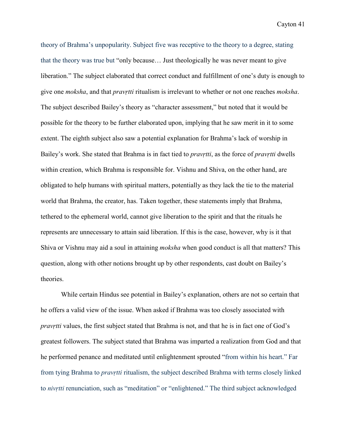theory of Brahma's unpopularity. Subject five was receptive to the theory to a degree, stating that the theory was true but "only because… Just theologically he was never meant to give liberation." The subject elaborated that correct conduct and fulfillment of one's duty is enough to give one *moksha*, and that *pravṛtti* ritualism is irrelevant to whether or not one reaches *moksha*. The subject described Bailey's theory as "character assessment," but noted that it would be possible for the theory to be further elaborated upon, implying that he saw merit in it to some extent. The eighth subject also saw a potential explanation for Brahma's lack of worship in Bailey's work. She stated that Brahma is in fact tied to *pravṛtti*, as the force of *pravṛtti* dwells within creation, which Brahma is responsible for. Vishnu and Shiva, on the other hand, are obligated to help humans with spiritual matters, potentially as they lack the tie to the material world that Brahma, the creator, has. Taken together, these statements imply that Brahma, tethered to the ephemeral world, cannot give liberation to the spirit and that the rituals he represents are unnecessary to attain said liberation. If this is the case, however, why is it that Shiva or Vishnu may aid a soul in attaining *moksha* when good conduct is all that matters? This question, along with other notions brought up by other respondents, cast doubt on Bailey's theories.

While certain Hindus see potential in Bailey's explanation, others are not so certain that he offers a valid view of the issue. When asked if Brahma was too closely associated with *pravṛtti* values, the first subject stated that Brahma is not, and that he is in fact one of God's greatest followers. The subject stated that Brahma was imparted a realization from God and that he performed penance and meditated until enlightenment sprouted "from within his heart." Far from tying Brahma to *pravṛtti* ritualism, the subject described Brahma with terms closely linked to *nivṛtti* renunciation, such as "meditation" or "enlightened." The third subject acknowledged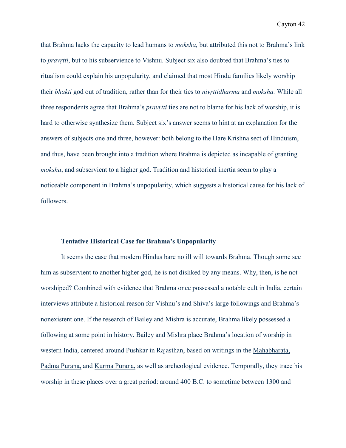that Brahma lacks the capacity to lead humans to *moksha,* but attributed this not to Brahma's link to *pravṛtti*, but to his subservience to Vishnu. Subject six also doubted that Brahma's ties to ritualism could explain his unpopularity, and claimed that most Hindu families likely worship their *bhakti* god out of tradition, rather than for their ties to *nivṛttidharma* and *moksha.* While all three respondents agree that Brahma's *pravṛtti* ties are not to blame for his lack of worship, it is hard to otherwise synthesize them. Subject six's answer seems to hint at an explanation for the answers of subjects one and three, however: both belong to the Hare Krishna sect of Hinduism, and thus, have been brought into a tradition where Brahma is depicted as incapable of granting *moksha*, and subservient to a higher god. Tradition and historical inertia seem to play a noticeable component in Brahma's unpopularity, which suggests a historical cause for his lack of followers.

#### **Tentative Historical Case for Brahma's Unpopularity**

It seems the case that modern Hindus bare no ill will towards Brahma. Though some see him as subservient to another higher god, he is not disliked by any means. Why, then, is he not worshiped? Combined with evidence that Brahma once possessed a notable cult in India, certain interviews attribute a historical reason for Vishnu's and Shiva's large followings and Brahma's nonexistent one. If the research of Bailey and Mishra is accurate, Brahma likely possessed a following at some point in history. Bailey and Mishra place Brahma's location of worship in western India, centered around Pushkar in Rajasthan, based on writings in the Mahabharata, Padma Purana, and Kurma Purana, as well as archeological evidence. Temporally, they trace his worship in these places over a great period: around 400 B.C. to sometime between 1300 and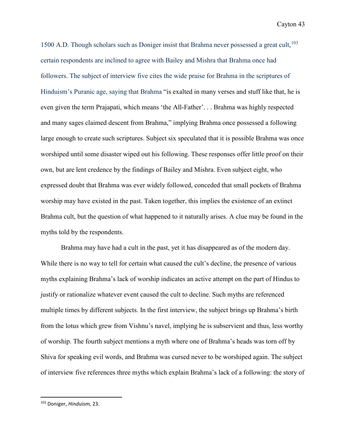1500 A.D. Though scholars such as Doniger insist that Brahma never possessed a great cult,  $103$ certain respondents are inclined to agree with Bailey and Mishra that Brahma once had followers. The subject of interview five cites the wide praise for Brahma in the scriptures of Hinduism's Puranic age, saying that Brahma "is exalted in many verses and stuff like that, he is even given the term Prajapati, which means 'the All-Father'. . . Brahma was highly respected and many sages claimed descent from Brahma," implying Brahma once possessed a following large enough to create such scriptures. Subject six speculated that it is possible Brahma was once worshiped until some disaster wiped out his following. These responses offer little proof on their own, but are lent credence by the findings of Bailey and Mishra. Even subject eight, who expressed doubt that Brahma was ever widely followed, conceded that small pockets of Brahma worship may have existed in the past. Taken together, this implies the existence of an extinct Brahma cult, but the question of what happened to it naturally arises. A clue may be found in the myths told by the respondents.

Brahma may have had a cult in the past, yet it has disappeared as of the modern day. While there is no way to tell for certain what caused the cult's decline, the presence of various myths explaining Brahma's lack of worship indicates an active attempt on the part of Hindus to justify or rationalize whatever event caused the cult to decline. Such myths are referenced multiple times by different subjects. In the first interview, the subject brings up Brahma's birth from the lotus which grew from Vishnu's navel, implying he is subservient and thus, less worthy of worship. The fourth subject mentions a myth where one of Brahma's heads was torn off by Shiva for speaking evil words, and Brahma was cursed never to be worshiped again. The subject of interview five references three myths which explain Brahma's lack of a following: the story of

<span id="page-48-0"></span> <sup>103</sup> Doniger, *Hinduism,* 23.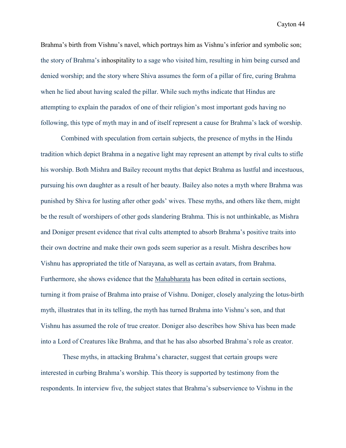Brahma's birth from Vishnu's navel, which portrays him as Vishnu's inferior and symbolic son; the story of Brahma's inhospitality to a sage who visited him, resulting in him being cursed and denied worship; and the story where Shiva assumes the form of a pillar of fire, curing Brahma when he lied about having scaled the pillar. While such myths indicate that Hindus are attempting to explain the paradox of one of their religion's most important gods having no following, this type of myth may in and of itself represent a cause for Brahma's lack of worship.

 Combined with speculation from certain subjects, the presence of myths in the Hindu tradition which depict Brahma in a negative light may represent an attempt by rival cults to stifle his worship. Both Mishra and Bailey recount myths that depict Brahma as lustful and incestuous, pursuing his own daughter as a result of her beauty. Bailey also notes a myth where Brahma was punished by Shiva for lusting after other gods' wives. These myths, and others like them, might be the result of worshipers of other gods slandering Brahma. This is not unthinkable, as Mishra and Doniger present evidence that rival cults attempted to absorb Brahma's positive traits into their own doctrine and make their own gods seem superior as a result. Mishra describes how Vishnu has appropriated the title of Narayana, as well as certain avatars, from Brahma. Furthermore, she shows evidence that the Mahabharata has been edited in certain sections, turning it from praise of Brahma into praise of Vishnu. Doniger, closely analyzing the lotus-birth myth, illustrates that in its telling, the myth has turned Brahma into Vishnu's son, and that Vishnu has assumed the role of true creator. Doniger also describes how Shiva has been made into a Lord of Creatures like Brahma, and that he has also absorbed Brahma's role as creator.

 These myths, in attacking Brahma's character, suggest that certain groups were interested in curbing Brahma's worship. This theory is supported by testimony from the respondents. In interview five, the subject states that Brahma's subservience to Vishnu in the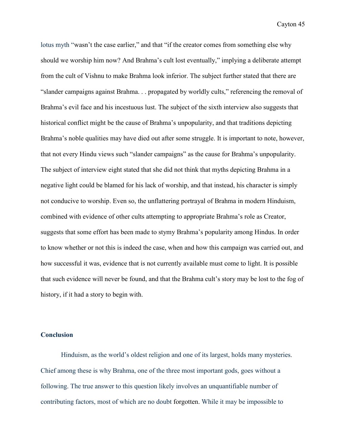lotus myth "wasn't the case earlier," and that "if the creator comes from something else why should we worship him now? And Brahma's cult lost eventually," implying a deliberate attempt from the cult of Vishnu to make Brahma look inferior. The subject further stated that there are "slander campaigns against Brahma. . . propagated by worldly cults," referencing the removal of Brahma's evil face and his incestuous lust. The subject of the sixth interview also suggests that historical conflict might be the cause of Brahma's unpopularity, and that traditions depicting Brahma's noble qualities may have died out after some struggle. It is important to note, however, that not every Hindu views such "slander campaigns" as the cause for Brahma's unpopularity. The subject of interview eight stated that she did not think that myths depicting Brahma in a negative light could be blamed for his lack of worship, and that instead, his character is simply not conducive to worship. Even so, the unflattering portrayal of Brahma in modern Hinduism, combined with evidence of other cults attempting to appropriate Brahma's role as Creator, suggests that some effort has been made to stymy Brahma's popularity among Hindus. In order to know whether or not this is indeed the case, when and how this campaign was carried out, and how successful it was, evidence that is not currently available must come to light. It is possible that such evidence will never be found, and that the Brahma cult's story may be lost to the fog of history, if it had a story to begin with.

#### **Conclusion**

Hinduism, as the world's oldest religion and one of its largest, holds many mysteries. Chief among these is why Brahma, one of the three most important gods, goes without a following. The true answer to this question likely involves an unquantifiable number of contributing factors, most of which are no doubt forgotten. While it may be impossible to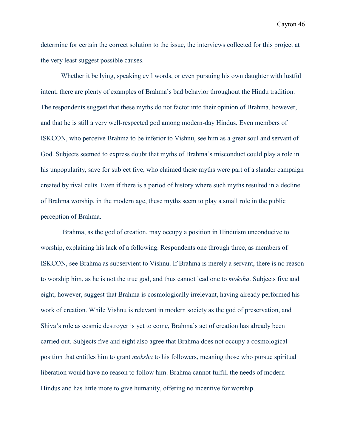determine for certain the correct solution to the issue, the interviews collected for this project at the very least suggest possible causes.

Whether it be lying, speaking evil words, or even pursuing his own daughter with lustful intent, there are plenty of examples of Brahma's bad behavior throughout the Hindu tradition. The respondents suggest that these myths do not factor into their opinion of Brahma, however, and that he is still a very well-respected god among modern-day Hindus. Even members of ISKCON, who perceive Brahma to be inferior to Vishnu, see him as a great soul and servant of God. Subjects seemed to express doubt that myths of Brahma's misconduct could play a role in his unpopularity, save for subject five, who claimed these myths were part of a slander campaign created by rival cults. Even if there is a period of history where such myths resulted in a decline of Brahma worship, in the modern age, these myths seem to play a small role in the public perception of Brahma.

Brahma, as the god of creation, may occupy a position in Hinduism unconducive to worship, explaining his lack of a following. Respondents one through three, as members of ISKCON, see Brahma as subservient to Vishnu. If Brahma is merely a servant, there is no reason to worship him, as he is not the true god, and thus cannot lead one to *moksha*. Subjects five and eight, however, suggest that Brahma is cosmologically irrelevant, having already performed his work of creation. While Vishnu is relevant in modern society as the god of preservation, and Shiva's role as cosmic destroyer is yet to come, Brahma's act of creation has already been carried out. Subjects five and eight also agree that Brahma does not occupy a cosmological position that entitles him to grant *moksha* to his followers, meaning those who pursue spiritual liberation would have no reason to follow him. Brahma cannot fulfill the needs of modern Hindus and has little more to give humanity, offering no incentive for worship.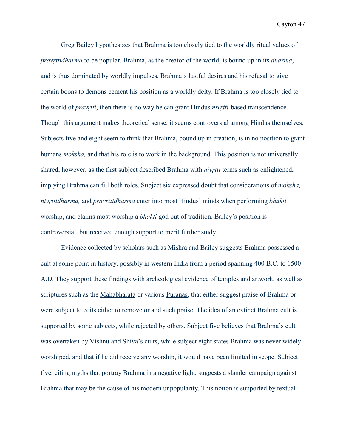Greg Bailey hypothesizes that Brahma is too closely tied to the worldly ritual values of *pravṛttidharma* to be popular*.* Brahma, as the creator of the world, is bound up in its *dharma*, and is thus dominated by worldly impulses. Brahma's lustful desires and his refusal to give certain boons to demons cement his position as a worldly deity. If Brahma is too closely tied to the world of *pravṛtti*, then there is no way he can grant Hindus *nivṛtti-*based transcendence. Though this argument makes theoretical sense, it seems controversial among Hindus themselves. Subjects five and eight seem to think that Brahma, bound up in creation, is in no position to grant humans *moksha,* and that his role is to work in the background. This position is not universally shared, however, as the first subject described Brahma with *nivṛtti* terms such as enlightened, implying Brahma can fill both roles. Subject six expressed doubt that considerations of *moksha, nivṛttidharma,* and *pravṛttidharma* enter into most Hindus' minds when performing *bhakti*  worship, and claims most worship a *bhakti* god out of tradition. Bailey's position is controversial, but received enough support to merit further study,

Evidence collected by scholars such as Mishra and Bailey suggests Brahma possessed a cult at some point in history, possibly in western India from a period spanning 400 B.C. to 1500 A.D. They support these findings with archeological evidence of temples and artwork, as well as scriptures such as the Mahabharata or various Puranas, that either suggest praise of Brahma or were subject to edits either to remove or add such praise. The idea of an extinct Brahma cult is supported by some subjects, while rejected by others. Subject five believes that Brahma's cult was overtaken by Vishnu and Shiva's cults, while subject eight states Brahma was never widely worshiped, and that if he did receive any worship, it would have been limited in scope. Subject five, citing myths that portray Brahma in a negative light, suggests a slander campaign against Brahma that may be the cause of his modern unpopularity. This notion is supported by textual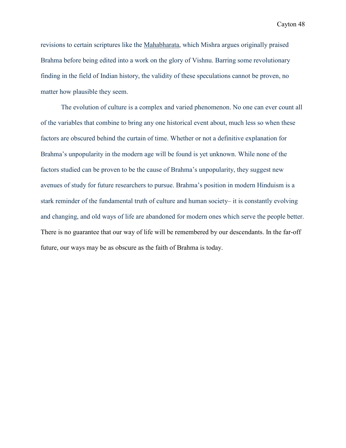revisions to certain scriptures like the Mahabharata, which Mishra argues originally praised Brahma before being edited into a work on the glory of Vishnu. Barring some revolutionary finding in the field of Indian history, the validity of these speculations cannot be proven, no matter how plausible they seem.

 The evolution of culture is a complex and varied phenomenon. No one can ever count all of the variables that combine to bring any one historical event about, much less so when these factors are obscured behind the curtain of time. Whether or not a definitive explanation for Brahma's unpopularity in the modern age will be found is yet unknown. While none of the factors studied can be proven to be the cause of Brahma's unpopularity, they suggest new avenues of study for future researchers to pursue. Brahma's position in modern Hinduism is a stark reminder of the fundamental truth of culture and human society– it is constantly evolving and changing, and old ways of life are abandoned for modern ones which serve the people better. There is no guarantee that our way of life will be remembered by our descendants. In the far-off future, our ways may be as obscure as the faith of Brahma is today.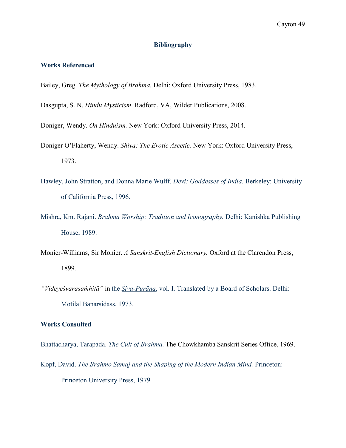# **Bibliography**

# **Works Referenced**

- Bailey, Greg. *The Mythology of Brahma.* Delhi: Oxford University Press, 1983.
- Dasgupta, S. N. *Hindu Mysticism*. Radford, VA, Wilder Publications, 2008.
- Doniger, Wendy. *On Hinduism.* New York: Oxford University Press, 2014.
- Doniger O'Flaherty, Wendy. *Shiva: The Erotic Ascetic.* New York: Oxford University Press, 1973.
- Hawley, John Stratton, and Donna Marie Wulff. *Devi: Goddesses of India.* Berkeley: University of California Press, 1996.
- Mishra, Km. Rajani. *Brahma Worship: Tradition and Iconography.* Delhi: Kanishka Publishing House, 1989.
- Monier-Williams, Sir Monier. *A Sanskrit-English Dictionary.* Oxford at the Clarendon Press, 1899.
- *"Videyeśvarasaṁhitā"* in the *Śiva-Purāna*, vol. I. Translated by a Board of Scholars. Delhi: Motilal Banarsidass, 1973.

#### **Works Consulted**

Bhattacharya, Tarapada. *The Cult of Brahma.* The Chowkhamba Sanskrit Series Office, 1969.

Kopf, David. *The Brahmo Samaj and the Shaping of the Modern Indian Mind.* Princeton: Princeton University Press, 1979.